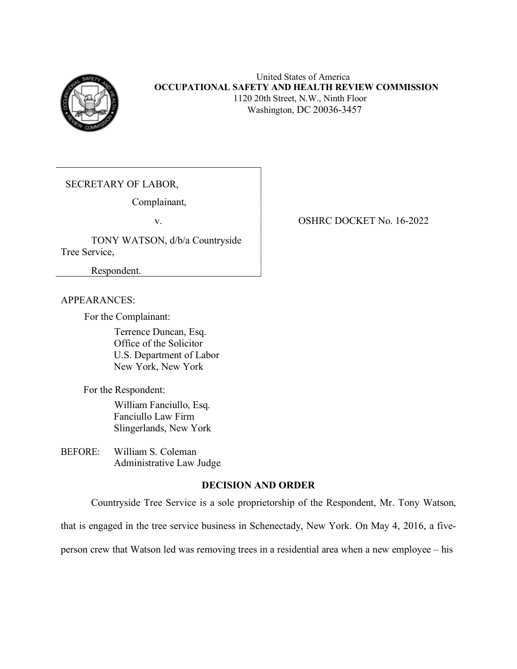

SECRETARY OF LABOR,

Complainant,

 TONY WATSON, d/b/a Countryside Tree Service,

Respondent.

### APPEARANCES:

For the Complainant:

 Terrence Duncan, Esq. Office of the Solicitor U.S. Department of Labor New York, New York

For the Respondent:

 William Fanciullo, Esq. Fanciullo Law Firm Slingerlands, New York

BEFORE: William S. Coleman Administrative Law Judge

### **DECISION AND ORDER**

Countryside Tree Service is a sole proprietorship of the Respondent, Mr. Tony Watson,

that is engaged in the tree service business in Schenectady, New York. On May 4, 2016, a five-

person crew that Watson led was removing trees in a residential area when a new employee – his

### v. OSHRC DOCKET No. 16-2022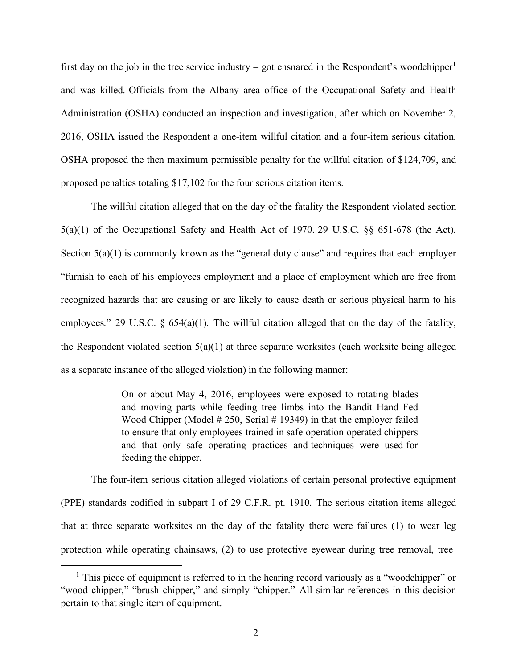first day on the job in the tree service industry – got ensnared in the Respondent's woodchipper $1$  and was killed. Officials from the Albany area office of the Occupational Safety and Health Administration (OSHA) conducted an inspection and investigation, after which on November 2, 2016, OSHA issued the Respondent a one-item willful citation and a four-item serious citation. OSHA proposed the then maximum permissible penalty for the willful citation of \$124,709, and proposed penalties totaling \$17,102 for the four serious citation items.

 The willful citation alleged that on the day of the fatality the Respondent violated section 5(a)(1) of the Occupational Safety and Health Act of 1970. 29 U.S.C. §§ 651-678 (the Act). Section  $5(a)(1)$  is commonly known as the "general duty clause" and requires that each employer "furnish to each of his employees employment and a place of employment which are free from recognized hazards that are causing or are likely to cause death or serious physical harm to his employees." 29 U.S.C. § 654(a)(1). The willful citation alleged that on the day of the fatality, the Respondent violated section 5(a)(1) at three separate worksites (each worksite being alleged as a separate instance of the alleged violation) in the following manner:

> On or about May 4, 2016, employees were exposed to rotating blades and moving parts while feeding tree limbs into the Bandit Hand Fed Wood Chipper (Model # 250, Serial # 19349) in that the employer failed to ensure that only employees trained in safe operation operated chippers and that only safe operating practices and techniques were used for feeding the chipper.

 The four-item serious citation alleged violations of certain personal protective equipment (PPE) standards codified in subpart I of 29 C.F.R. pt. 1910. The serious citation items alleged that at three separate worksites on the day of the fatality there were failures (1) to wear leg protection while operating chainsaws, (2) to use protective eyewear during tree removal, tree

<span id="page-1-0"></span><sup>&</sup>lt;sup>1</sup> This piece of equipment is referred to in the hearing record variously as a "woodchipper" or "wood chipper," "brush chipper," and simply "chipper." All similar references in this decision pertain to that single item of equipment.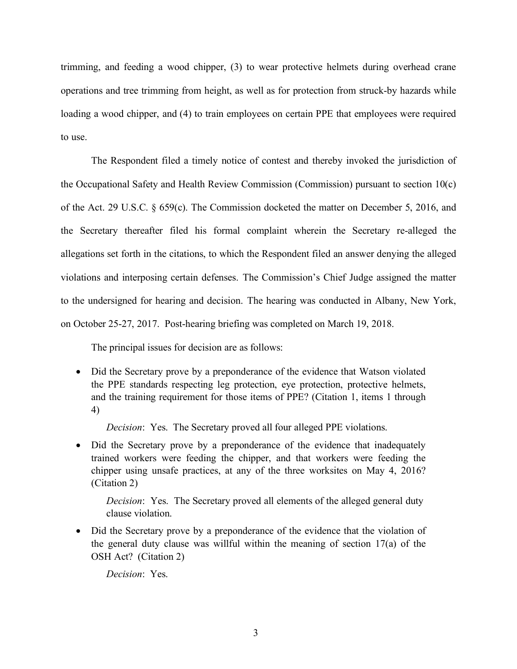trimming, and feeding a wood chipper, (3) to wear protective helmets during overhead crane operations and tree trimming from height, as well as for protection from struck-by hazards while loading a wood chipper, and (4) to train employees on certain PPE that employees were required to use.

 The Respondent filed a timely notice of contest and thereby invoked the jurisdiction of the Occupational Safety and Health Review Commission (Commission) pursuant to section 10(c) of the Act. 29 U.S.C. § 659(c). The Commission docketed the matter on December 5, 2016, and the Secretary thereafter filed his formal complaint wherein the Secretary re-alleged the allegations set forth in the citations, to which the Respondent filed an answer denying the alleged violations and interposing certain defenses. The Commission's Chief Judge assigned the matter to the undersigned for hearing and decision. The hearing was conducted in Albany, New York, on October 25-27, 2017. Post-hearing briefing was completed on March 19, 2018.

The principal issues for decision are as follows:

 • Did the Secretary prove by a preponderance of the evidence that Watson violated the PPE standards respecting leg protection, eye protection, protective helmets, and the training requirement for those items of PPE? (Citation 1, items 1 through 4)

*Decision*: Yes. The Secretary proved all four alleged PPE violations.

 • Did the Secretary prove by a preponderance of the evidence that inadequately trained workers were feeding the chipper, and that workers were feeding the chipper using unsafe practices, at any of the three worksites on May 4, 2016? (Citation 2)

 *Decision*: Yes. The Secretary proved all elements of the alleged general duty clause violation.

 • Did the Secretary prove by a preponderance of the evidence that the violation of the general duty clause was willful within the meaning of section 17(a) of the OSH Act? (Citation 2)

*Decision*: Yes.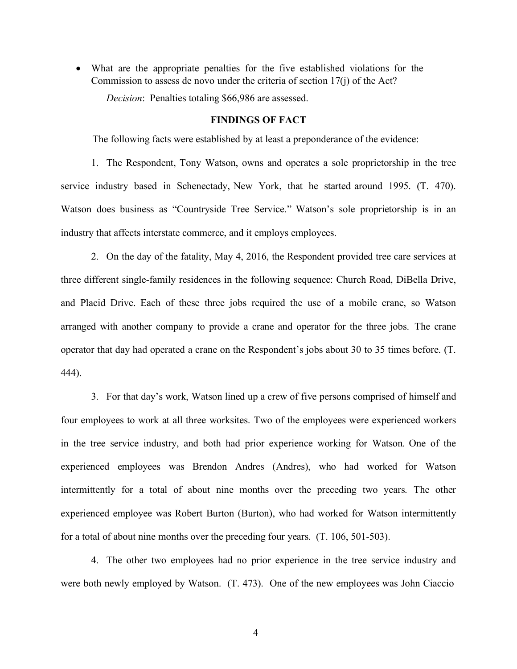• What are the appropriate penalties for the five established violations for the Commission to assess de novo under the criteria of section 17(j) of the Act?

*Decision*: Penalties totaling \$66,986 are assessed.

### **FINDINGS OF FACT**

The following facts were established by at least a preponderance of the evidence:

 1. The Respondent, Tony Watson, owns and operates a sole proprietorship in the tree service industry based in Schenectady, New York, that he started around 1995. (T. 470). Watson does business as "Countryside Tree Service." Watson's sole proprietorship is in an industry that affects interstate commerce, and it employs employees.

 2. On the day of the fatality, May 4, 2016, the Respondent provided tree care services at three different single-family residences in the following sequence: Church Road, DiBella Drive, and Placid Drive. Each of these three jobs required the use of a mobile crane, so Watson arranged with another company to provide a crane and operator for the three jobs. The crane operator that day had operated a crane on the Respondent's jobs about 30 to 35 times before. (T. 444).

 3. For that day's work, Watson lined up a crew of five persons comprised of himself and four employees to work at all three worksites. Two of the employees were experienced workers in the tree service industry, and both had prior experience working for Watson. One of the experienced employees was Brendon Andres (Andres), who had worked for Watson intermittently for a total of about nine months over the preceding two years. The other experienced employee was Robert Burton (Burton), who had worked for Watson intermittently for a total of about nine months over the preceding four years. (T. 106, 501-503).

 4. The other two employees had no prior experience in the tree service industry and were both newly employed by Watson. (T. 473). One of the new employees was John Ciaccio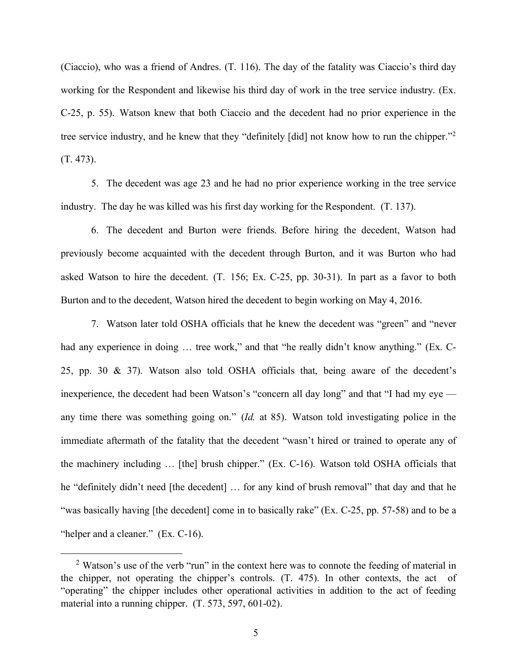(Ciaccio), who was a friend of Andres. (T. 116). The day of the fatality was Ciaccio's third day working for the Respondent and likewise his third day of work in the tree service industry. (Ex. C-25, p. 55). Watson knew that both Ciaccio and the decedent had no prior experience in the tree service industry, and he knew that they "definitely [did] not know how to run the chipper."<sup>2</sup> (T. 473).

 5. The decedent was age 23 and he had no prior experience working in the tree service industry. The day he was killed was his first day working for the Respondent. (T. 137).

 6. The decedent and Burton were friends. Before hiring the decedent, Watson had previously become acquainted with the decedent through Burton, and it was Burton who had asked Watson to hire the decedent. (T. 156; Ex. C-25, pp. 30-31). In part as a favor to both Burton and to the decedent, Watson hired the decedent to begin working on May 4, 2016.

 7. Watson later told OSHA officials that he knew the decedent was "green" and "never had any experience in doing ... tree work," and that "he really didn't know anything." (Ex. C- 25, pp. 30 & 37). Watson also told OSHA officials that, being aware of the decedent's inexperience, the decedent had been Watson's "concern all day long" and that "I had my eye — any time there was something going on." (*Id.* at 85). Watson told investigating police in the immediate aftermath of the fatality that the decedent "wasn't hired or trained to operate any of the machinery including … [the] brush chipper." (Ex. C-16). Watson told OSHA officials that he "definitely didn't need [the decedent] … for any kind of brush removal" that day and that he "was basically having [the decedent] come in to basically rake" (Ex. C-25, pp. 57-58) and to be a "helper and a cleaner." (Ex. C-16).

<span id="page-4-0"></span> $2$  Watson's use of the verb "run" in the context here was to connote the feeding of material in the chipper, not operating the chipper's controls. (T. 475). In other contexts, the act of "operating" the chipper includes other operational activities in addition to the act of feeding material into a running chipper. (T. 573, 597, 601-02).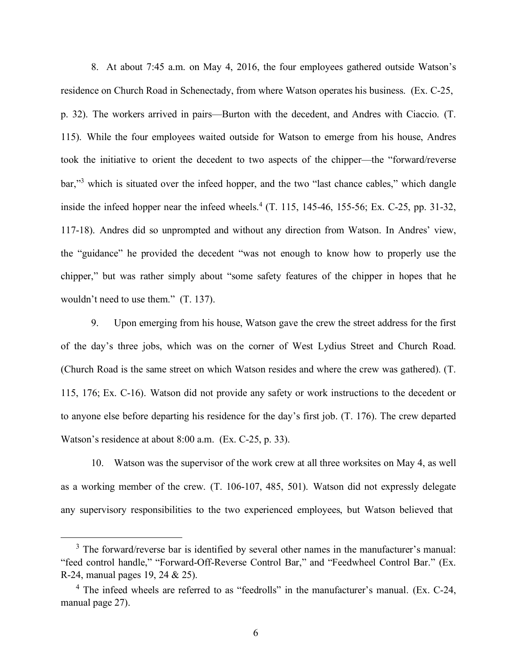8. At about 7:45 a.m. on May 4, 2016, the four employees gathered outside Watson's residence on Church Road in Schenectady, from where Watson operates his business. (Ex. C-25, p. 32). The workers arrived in pairs—Burton with the decedent, and Andres with Ciaccio. (T. 115). While the four employees waited outside for Watson to emerge from his house, Andres took the initiative to orient the decedent to two aspects of the chipper—the "forward/reverse bar,"<sup>3</sup> which is situated over the infeed hopper, and the two "last chance cables," which dangle inside the infeed hopper near the infeed wheels.<sup>4</sup> (T. 115, 145-46, 155-56; Ex. C-25, pp. 31-32, 117-18). Andres did so unprompted and without any direction from Watson. In Andres' view, the "guidance" he provided the decedent "was not enough to know how to properly use the chipper," but was rather simply about "some safety features of the chipper in hopes that he wouldn't need to use them." (T. 137).

 9. Upon emerging from his house, Watson gave the crew the street address for the first of the day's three jobs, which was on the corner of West Lydius Street and Church Road. (Church Road is the same street on which Watson resides and where the crew was gathered). (T. 115, 176; Ex. C-16). Watson did not provide any safety or work instructions to the decedent or to anyone else before departing his residence for the day's first job. (T. 176). The crew departed Watson's residence at about 8:00 a.m. (Ex. C-25, p. 33).

 10. Watson was the supervisor of the work crew at all three worksites on May 4, as well as a working member of the crew. (T. 106-107, 485, 501). Watson did not expressly delegate any supervisory responsibilities to the two experienced employees, but Watson believed that

<span id="page-5-0"></span> $3$  The forward/reverse bar is identified by several other names in the manufacturer's manual: "feed control handle," "Forward-Off-Reverse Control Bar," and "Feedwheel Control Bar." (Ex. R-24, manual pages 19, 24 & 25).

<span id="page-5-1"></span> $4$  The infeed wheels are referred to as "feedrolls" in the manufacturer's manual. (Ex. C-24, manual page 27).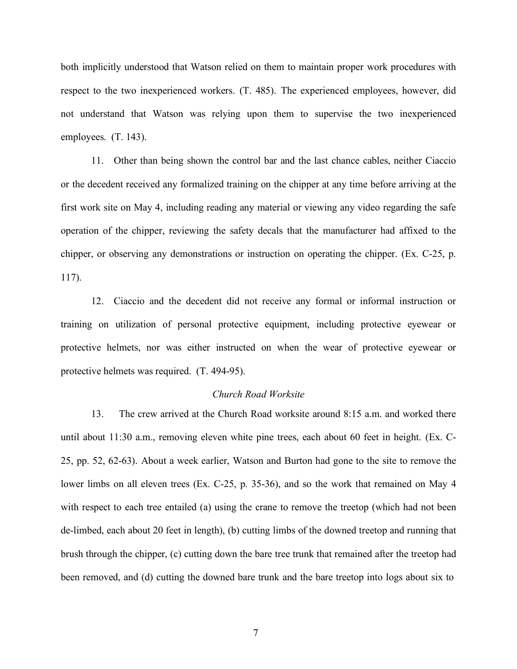both implicitly understood that Watson relied on them to maintain proper work procedures with respect to the two inexperienced workers. (T. 485). The experienced employees, however, did not understand that Watson was relying upon them to supervise the two inexperienced employees. (T. 143).

 11. Other than being shown the control bar and the last chance cables, neither Ciaccio or the decedent received any formalized training on the chipper at any time before arriving at the first work site on May 4, including reading any material or viewing any video regarding the safe operation of the chipper, reviewing the safety decals that the manufacturer had affixed to the chipper, or observing any demonstrations or instruction on operating the chipper. (Ex. C-25, p. 117).

 12. Ciaccio and the decedent did not receive any formal or informal instruction or training on utilization of personal protective equipment, including protective eyewear or protective helmets, nor was either instructed on when the wear of protective eyewear or protective helmets was required. (T. 494-95).

### *Church Road Worksite*

 13. The crew arrived at the Church Road worksite around 8:15 a.m. and worked there until about 11:30 a.m., removing eleven white pine trees, each about 60 feet in height. (Ex. C- 25, pp. 52, 62-63). About a week earlier, Watson and Burton had gone to the site to remove the lower limbs on all eleven trees (Ex. C-25, p. 35-36), and so the work that remained on May 4 with respect to each tree entailed (a) using the crane to remove the treetop (which had not been de-limbed, each about 20 feet in length), (b) cutting limbs of the downed treetop and running that brush through the chipper, (c) cutting down the bare tree trunk that remained after the treetop had been removed, and (d) cutting the downed bare trunk and the bare treetop into logs about six to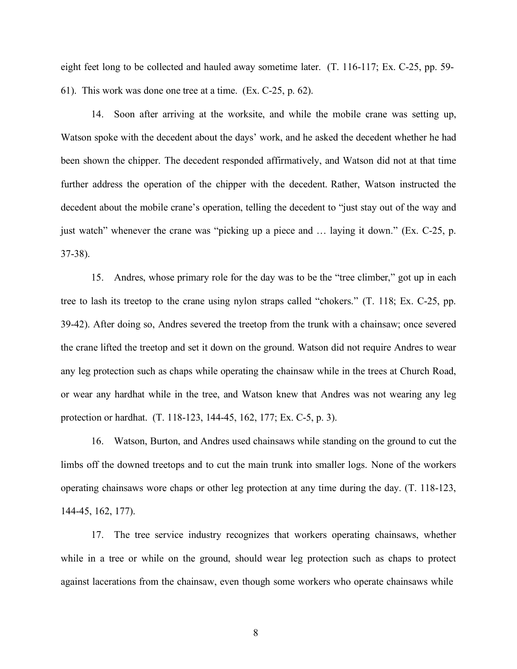eight feet long to be collected and hauled away sometime later. (T. 116-117; Ex. C-25, pp. 59- 61). This work was done one tree at a time. (Ex. C-25, p. 62).

 14. Soon after arriving at the worksite, and while the mobile crane was setting up, Watson spoke with the decedent about the days' work, and he asked the decedent whether he had been shown the chipper. The decedent responded affirmatively, and Watson did not at that time further address the operation of the chipper with the decedent. Rather, Watson instructed the decedent about the mobile crane's operation, telling the decedent to "just stay out of the way and just watch" whenever the crane was "picking up a piece and … laying it down." (Ex. C-25, p. 37-38).

 15. Andres, whose primary role for the day was to be the "tree climber," got up in each tree to lash its treetop to the crane using nylon straps called "chokers." (T. 118; Ex. C-25, pp. 39-42). After doing so, Andres severed the treetop from the trunk with a chainsaw; once severed the crane lifted the treetop and set it down on the ground. Watson did not require Andres to wear any leg protection such as chaps while operating the chainsaw while in the trees at Church Road, or wear any hardhat while in the tree, and Watson knew that Andres was not wearing any leg protection or hardhat. (T. 118-123, 144-45, 162, 177; Ex. C-5, p. 3).

 16. Watson, Burton, and Andres used chainsaws while standing on the ground to cut the limbs off the downed treetops and to cut the main trunk into smaller logs. None of the workers operating chainsaws wore chaps or other leg protection at any time during the day. (T. 118-123, 144-45, 162, 177).

 17. The tree service industry recognizes that workers operating chainsaws, whether while in a tree or while on the ground, should wear leg protection such as chaps to protect against lacerations from the chainsaw, even though some workers who operate chainsaws while

8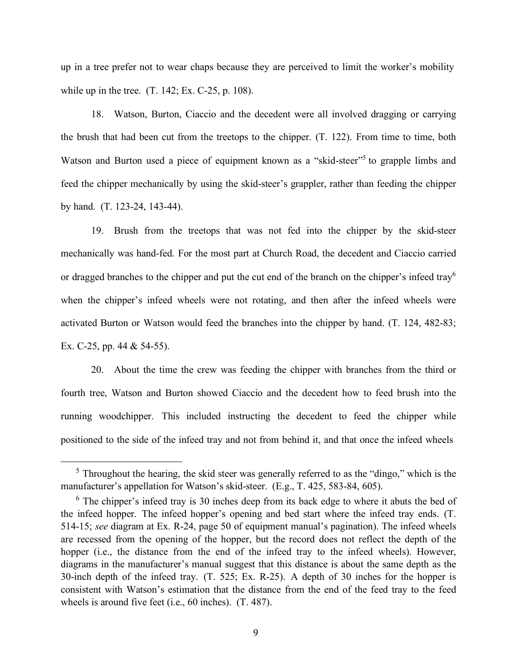up in a tree prefer not to wear chaps because they are perceived to limit the worker's mobility while up in the tree. (T. 142; Ex. C-25, p. 108).

 18. Watson, Burton, Ciaccio and the decedent were all involved dragging or carrying the brush that had been cut from the treetops to the chipper. (T. 122). From time to time, both Watson and Burton used a piece of equipment known as a "skid-steer"<sup>5</sup> to grapple limbs and feed the chipper mechanically by using the skid-steer's grappler, rather than feeding the chipper by hand. (T. 123-24, 143-44).

 19. Brush from the treetops that was not fed into the chipper by the skid-steer mechanically was hand-fed. For the most part at Church Road, the decedent and Ciaccio carried or dragged branches to the chipper and put the cut end of the branch on the chipper's infeed tray<sup>6</sup> when the chipper's infeed wheels were not rotating, and then after the infeed wheels were activated Burton or Watson would feed the branches into the chipper by hand. (T. 124, 482-83; Ex. C-25, pp. 44 & 54-55).

 20. About the time the crew was feeding the chipper with branches from the third or fourth tree, Watson and Burton showed Ciaccio and the decedent how to feed brush into the running woodchipper. This included instructing the decedent to feed the chipper while positioned to the side of the infeed tray and not from behind it, and that once the infeed wheels

<span id="page-8-0"></span> $5$  Throughout the hearing, the skid steer was generally referred to as the "dingo," which is the manufacturer's appellation for Watson's skid-steer. (E.g., T. 425, 583-84, 605).

<span id="page-8-1"></span> $6$  The chipper's infeed tray is 30 inches deep from its back edge to where it abuts the bed of the infeed hopper. The infeed hopper's opening and bed start where the infeed tray ends. (T. 514-15; *see* diagram at Ex. R-24, page 50 of equipment manual's pagination). The infeed wheels are recessed from the opening of the hopper, but the record does not reflect the depth of the hopper (i.e., the distance from the end of the infeed tray to the infeed wheels). However, diagrams in the manufacturer's manual suggest that this distance is about the same depth as the 30-inch depth of the infeed tray. (T. 525; Ex. R-25). A depth of 30 inches for the hopper is consistent with Watson's estimation that the distance from the end of the feed tray to the feed wheels is around five feet (i.e., 60 inches). (T. 487).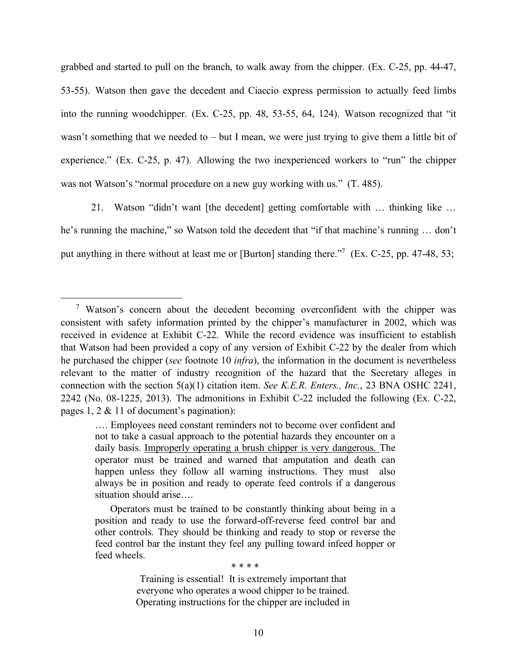grabbed and started to pull on the branch, to walk away from the chipper. (Ex. C-25, pp. 44-47, 53-55). Watson then gave the decedent and Ciaccio express permission to actually feed limbs into the running woodchipper. (Ex. C-25, pp. 48, 53-55, 64, 124). Watson recognized that "it wasn't something that we needed to – but I mean, we were just trying to give them a little bit of experience." (Ex. C-25, p. 47). Allowing the two inexperienced workers to "run" the chipper was not Watson's "normal procedure on a new guy working with us." (T. 485).

 21. Watson "didn't want [the decedent] getting comfortable with … thinking like … he's running the machine," so Watson told the decedent that "if that machine's running … don't put anything in there without at least me or [Burton] standing there."<sup>7</sup> (Ex. C-25, pp. 47-48, 53;

\* \* \* \*

<span id="page-9-0"></span> $7$  Watson's concern about the decedent becoming overconfident with the chipper was consistent with safety information printed by the chipper's manufacturer in 2002, which was received in evidence at Exhibit C-22. While the record evidence was insufficient to establish that Watson had been provided a copy of any version of Exhibit C-22 by the dealer from which he purchased the chipper (*see* footnote 10 *infra*), the information in the document is nevertheless relevant to the matter of industry recognition of the hazard that the Secretary alleges in connection with the section 5(a)(1) citation item. *See K.E.R. Enters., Inc.*, 23 BNA OSHC 2241, 2242 (No. 08-1225, 2013). The admonitions in Exhibit C-22 included the following (Ex. C-22, pages 1, 2 & 11 of document's pagination):

 …. Employees need constant reminders not to become over confident and not to take a casual approach to the potential hazards they encounter on a daily basis. Improperly operating a brush chipper is very dangerous. The operator must be trained and warned that amputation and death can happen unless they follow all warning instructions. They must also always be in position and ready to operate feed controls if a dangerous situation should arise….

 Operators must be trained to be constantly thinking about being in a position and ready to use the forward-off-reverse feed control bar and other controls. They should be thinking and ready to stop or reverse the feed control bar the instant they feel any pulling toward infeed hopper or feed wheels.

 Training is essential! It is extremely important that everyone who operates a wood chipper to be trained. Operating instructions for the chipper are included in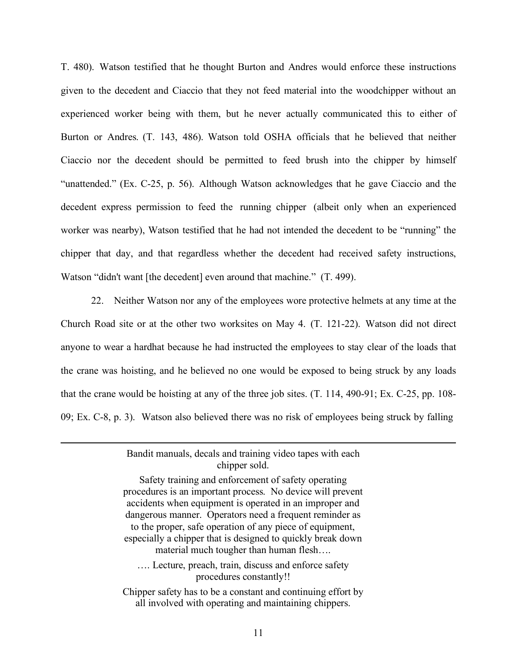T. 480). Watson testified that he thought Burton and Andres would enforce these instructions given to the decedent and Ciaccio that they not feed material into the woodchipper without an experienced worker being with them, but he never actually communicated this to either of Burton or Andres. (T. 143, 486). Watson told OSHA officials that he believed that neither Ciaccio nor the decedent should be permitted to feed brush into the chipper by himself "unattended." (Ex. C-25, p. 56). Although Watson acknowledges that he gave Ciaccio and the decedent express permission to feed the running chipper (albeit only when an experienced worker was nearby), Watson testified that he had not intended the decedent to be "running" the chipper that day, and that regardless whether the decedent had received safety instructions, Watson "didn't want [the decedent] even around that machine." (T. 499).

 22. Neither Watson nor any of the employees wore protective helmets at any time at the Church Road site or at the other two worksites on May 4. (T. 121-22). Watson did not direct anyone to wear a hardhat because he had instructed the employees to stay clear of the loads that the crane was hoisting, and he believed no one would be exposed to being struck by any loads that the crane would be hoisting at any of the three job sites. (T. 114, 490-91; Ex. C-25, pp. 108- 09; Ex. C-8, p. 3). Watson also believed there was no risk of employees being struck by falling

> Bandit manuals, decals and training video tapes with each chipper sold.

 Safety training and enforcement of safety operating procedures is an important process. No device will prevent accidents when equipment is operated in an improper and dangerous manner. Operators need a frequent reminder as to the proper, safe operation of any piece of equipment, especially a chipper that is designed to quickly break down material much tougher than human flesh…. …. Lecture, preach, train, discuss and enforce safety procedures constantly!! Chipper safety has to be a constant and continuing effort by

all involved with operating and maintaining chippers.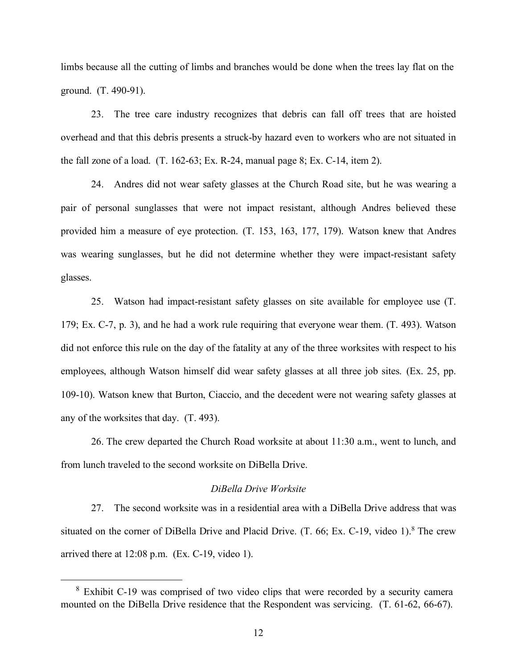limbs because all the cutting of limbs and branches would be done when the trees lay flat on the ground. (T. 490-91).

 23. The tree care industry recognizes that debris can fall off trees that are hoisted overhead and that this debris presents a struck-by hazard even to workers who are not situated in the fall zone of a load. (T. 162-63; Ex. R-24, manual page 8; Ex. C-14, item 2).

 24. Andres did not wear safety glasses at the Church Road site, but he was wearing a pair of personal sunglasses that were not impact resistant, although Andres believed these provided him a measure of eye protection. (T. 153, 163, 177, 179). Watson knew that Andres was wearing sunglasses, but he did not determine whether they were impact-resistant safety glasses.

 25. Watson had impact-resistant safety glasses on site available for employee use (T. 179; Ex. C-7, p. 3), and he had a work rule requiring that everyone wear them. (T. 493). Watson did not enforce this rule on the day of the fatality at any of the three worksites with respect to his employees, although Watson himself did wear safety glasses at all three job sites. (Ex. 25, pp. 109-10). Watson knew that Burton, Ciaccio, and the decedent were not wearing safety glasses at any of the worksites that day. (T. 493).

 26. The crew departed the Church Road worksite at about 11:30 a.m., went to lunch, and from lunch traveled to the second worksite on DiBella Drive.

### *DiBella Drive Worksite*

 27. The second worksite was in a residential area with a DiBella Drive address that was situated on the corner of DiBella Drive and Placid Drive. (T. 66; Ex. C-19, video 1).<sup>8</sup> The crew arrived there at 12:08 p.m. (Ex. C-19, video 1).

<span id="page-11-0"></span> $8$  Exhibit C-19 was comprised of two video clips that were recorded by a security camera mounted on the DiBella Drive residence that the Respondent was servicing. (T. 61-62, 66-67).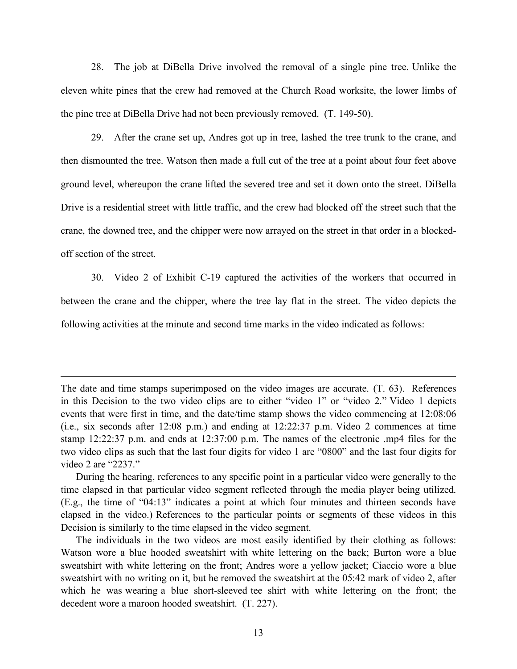28. The job at DiBella Drive involved the removal of a single pine tree. Unlike the eleven white pines that the crew had removed at the Church Road worksite, the lower limbs of the pine tree at DiBella Drive had not been previously removed. (T. 149-50).

 29. After the crane set up, Andres got up in tree, lashed the tree trunk to the crane, and then dismounted the tree. Watson then made a full cut of the tree at a point about four feet above ground level, whereupon the crane lifted the severed tree and set it down onto the street. DiBella Drive is a residential street with little traffic, and the crew had blocked off the street such that the crane, the downed tree, and the chipper were now arrayed on the street in that order in a blocked-off section of the street.

 30. Video 2 of Exhibit C-19 captured the activities of the workers that occurred in between the crane and the chipper, where the tree lay flat in the street. The video depicts the following activities at the minute and second time marks in the video indicated as follows:

 The date and time stamps superimposed on the video images are accurate. (T. 63). References in this Decision to the two video clips are to either "video 1" or "video 2." Video 1 depicts events that were first in time, and the date/time stamp shows the video commencing at 12:08:06 (i.e., six seconds after 12:08 p.m.) and ending at 12:22:37 p.m. Video 2 commences at time stamp 12:22:37 p.m. and ends at 12:37:00 p.m. The names of the electronic .mp4 files for the two video clips as such that the last four digits for video 1 are "0800" and the last four digits for video 2 are "2237."

 During the hearing, references to any specific point in a particular video were generally to the time elapsed in that particular video segment reflected through the media player being utilized. (E.g., the time of "04:13" indicates a point at which four minutes and thirteen seconds have elapsed in the video.) References to the particular points or segments of these videos in this Decision is similarly to the time elapsed in the video segment.

 The individuals in the two videos are most easily identified by their clothing as follows: Watson wore a blue hooded sweatshirt with white lettering on the back; Burton wore a blue sweatshirt with white lettering on the front; Andres wore a yellow jacket; Ciaccio wore a blue sweatshirt with no writing on it, but he removed the sweatshirt at the 05:42 mark of video 2, after which he was wearing a blue short-sleeved tee shirt with white lettering on the front; the decedent wore a maroon hooded sweatshirt. (T. 227).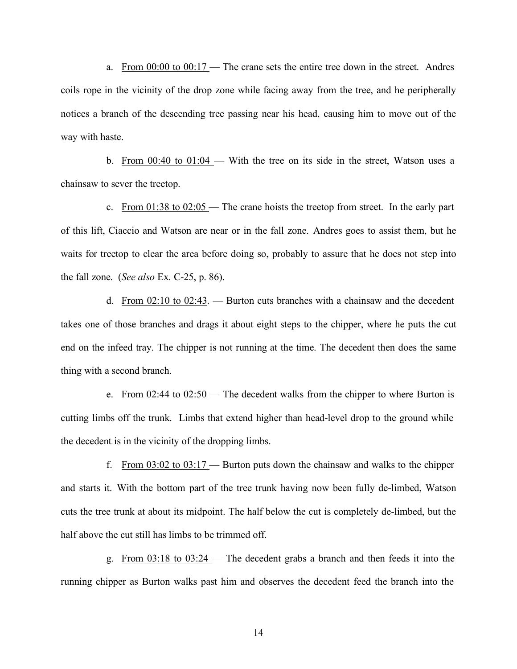a. From  $0.000$  to  $0.0017$  – The crane sets the entire tree down in the street. Andres coils rope in the vicinity of the drop zone while facing away from the tree, and he peripherally notices a branch of the descending tree passing near his head, causing him to move out of the way with haste.

b. From  $0.01:04 - 0.01:04 - 0.01$  in the street, Watson uses a chainsaw to sever the treetop.

c. From  $01:38$  to  $02:05$  — The crane hoists the treetop from street. In the early part of this lift, Ciaccio and Watson are near or in the fall zone. Andres goes to assist them, but he waits for treetop to clear the area before doing so, probably to assure that he does not step into the fall zone. (*See also* Ex. C-25, p. 86).

d. From  $02:10$  to  $02:43$ . — Burton cuts branches with a chainsaw and the decedent takes one of those branches and drags it about eight steps to the chipper, where he puts the cut end on the infeed tray. The chipper is not running at the time. The decedent then does the same thing with a second branch.

e. From  $02:44$  to  $02:50$  — The decedent walks from the chipper to where Burton is cutting limbs off the trunk. Limbs that extend higher than head-level drop to the ground while the decedent is in the vicinity of the dropping limbs.

f. From  $03:02$  to  $03:17$  — Burton puts down the chainsaw and walks to the chipper and starts it. With the bottom part of the tree trunk having now been fully de-limbed, Watson cuts the tree trunk at about its midpoint. The half below the cut is completely de-limbed, but the half above the cut still has limbs to be trimmed off.

 g. From 03:18 to 03:24 — The decedent grabs a branch and then feeds it into the running chipper as Burton walks past him and observes the decedent feed the branch into the

14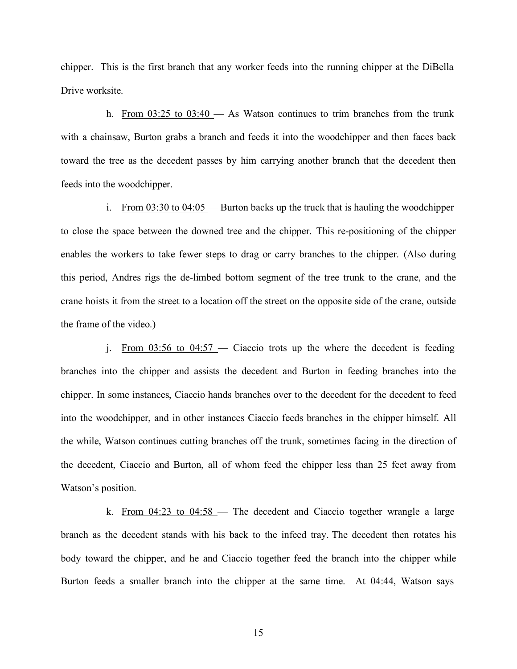chipper. This is the first branch that any worker feeds into the running chipper at the DiBella Drive worksite.

h. From  $03:25$  to  $03:40$  - As Watson continues to trim branches from the trunk with a chainsaw, Burton grabs a branch and feeds it into the woodchipper and then faces back toward the tree as the decedent passes by him carrying another branch that the decedent then feeds into the woodchipper.

i. From  $03:30$  to  $04:05$  — Burton backs up the truck that is hauling the woodchipper to close the space between the downed tree and the chipper. This re-positioning of the chipper enables the workers to take fewer steps to drag or carry branches to the chipper. (Also during this period, Andres rigs the de-limbed bottom segment of the tree trunk to the crane, and the crane hoists it from the street to a location off the street on the opposite side of the crane, outside the frame of the video.)

j. From  $03:56$  to  $04:57$  — Ciaccio trots up the where the decedent is feeding branches into the chipper and assists the decedent and Burton in feeding branches into the chipper. In some instances, Ciaccio hands branches over to the decedent for the decedent to feed into the woodchipper, and in other instances Ciaccio feeds branches in the chipper himself. All the while, Watson continues cutting branches off the trunk, sometimes facing in the direction of the decedent, Ciaccio and Burton, all of whom feed the chipper less than 25 feet away from Watson's position.

k. From 04:23 to 04:58 – The decedent and Ciaccio together wrangle a large branch as the decedent stands with his back to the infeed tray. The decedent then rotates his body toward the chipper, and he and Ciaccio together feed the branch into the chipper while Burton feeds a smaller branch into the chipper at the same time. At 04:44, Watson says

15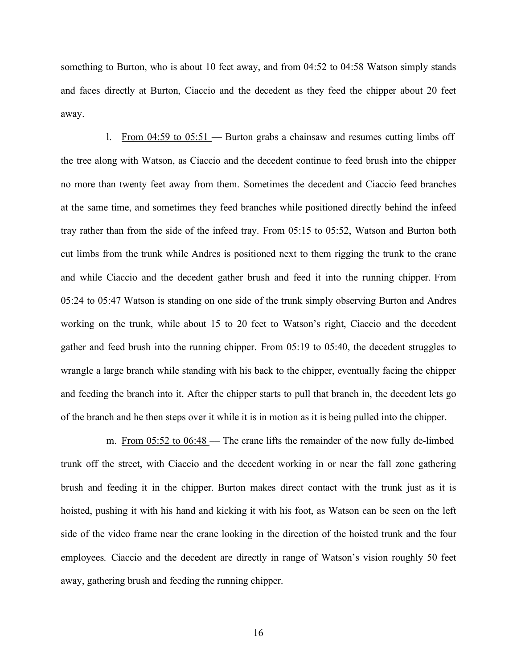something to Burton, who is about 10 feet away, and from 04:52 to 04:58 Watson simply stands and faces directly at Burton, Ciaccio and the decedent as they feed the chipper about 20 feet away.

1. From  $04:59$  to  $05:51$  — Burton grabs a chainsaw and resumes cutting limbs off the tree along with Watson, as Ciaccio and the decedent continue to feed brush into the chipper no more than twenty feet away from them. Sometimes the decedent and Ciaccio feed branches at the same time, and sometimes they feed branches while positioned directly behind the infeed tray rather than from the side of the infeed tray. From 05:15 to 05:52, Watson and Burton both cut limbs from the trunk while Andres is positioned next to them rigging the trunk to the crane and while Ciaccio and the decedent gather brush and feed it into the running chipper. From 05:24 to 05:47 Watson is standing on one side of the trunk simply observing Burton and Andres working on the trunk, while about 15 to 20 feet to Watson's right, Ciaccio and the decedent gather and feed brush into the running chipper. From 05:19 to 05:40, the decedent struggles to wrangle a large branch while standing with his back to the chipper, eventually facing the chipper and feeding the branch into it. After the chipper starts to pull that branch in, the decedent lets go of the branch and he then steps over it while it is in motion as it is being pulled into the chipper.

m. From 05:52 to 06:48 — The crane lifts the remainder of the now fully de-limbed trunk off the street, with Ciaccio and the decedent working in or near the fall zone gathering brush and feeding it in the chipper. Burton makes direct contact with the trunk just as it is hoisted, pushing it with his hand and kicking it with his foot, as Watson can be seen on the left side of the video frame near the crane looking in the direction of the hoisted trunk and the four employees. Ciaccio and the decedent are directly in range of Watson's vision roughly 50 feet away, gathering brush and feeding the running chipper.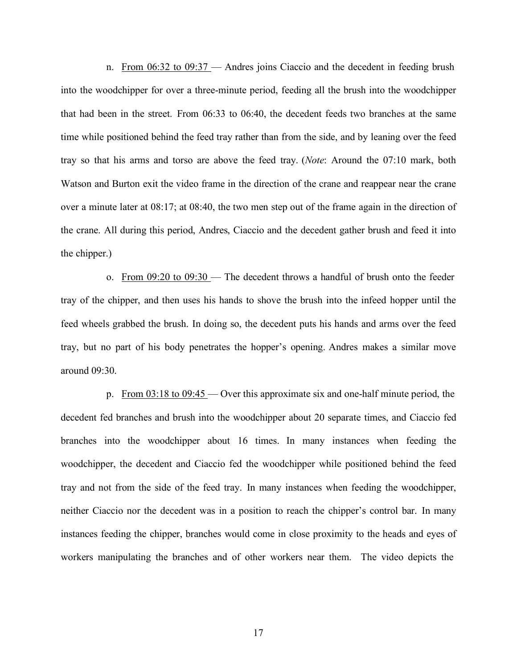n. From 06:32 to 09:37 — Andres joins Ciaccio and the decedent in feeding brush into the woodchipper for over a three-minute period, feeding all the brush into the woodchipper that had been in the street. From 06:33 to 06:40, the decedent feeds two branches at the same time while positioned behind the feed tray rather than from the side, and by leaning over the feed tray so that his arms and torso are above the feed tray. (*Note*: Around the 07:10 mark, both Watson and Burton exit the video frame in the direction of the crane and reappear near the crane over a minute later at 08:17; at 08:40, the two men step out of the frame again in the direction of the crane. All during this period, Andres, Ciaccio and the decedent gather brush and feed it into the chipper.)

o. From  $09:20$  to  $09:30$  — The decedent throws a handful of brush onto the feeder tray of the chipper, and then uses his hands to shove the brush into the infeed hopper until the feed wheels grabbed the brush. In doing so, the decedent puts his hands and arms over the feed tray, but no part of his body penetrates the hopper's opening. Andres makes a similar move around 09:30.

p. From 03:18 to 09:45 — Over this approximate six and one-half minute period, the decedent fed branches and brush into the woodchipper about 20 separate times, and Ciaccio fed branches into the woodchipper about 16 times. In many instances when feeding the woodchipper, the decedent and Ciaccio fed the woodchipper while positioned behind the feed tray and not from the side of the feed tray. In many instances when feeding the woodchipper, neither Ciaccio nor the decedent was in a position to reach the chipper's control bar. In many instances feeding the chipper, branches would come in close proximity to the heads and eyes of workers manipulating the branches and of other workers near them. The video depicts the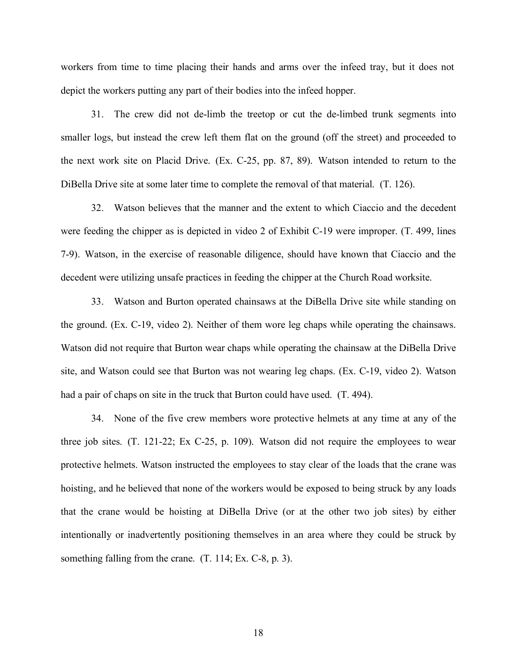workers from time to time placing their hands and arms over the infeed tray, but it does not depict the workers putting any part of their bodies into the infeed hopper.

 31. The crew did not de-limb the treetop or cut the de-limbed trunk segments into smaller logs, but instead the crew left them flat on the ground (off the street) and proceeded to the next work site on Placid Drive. (Ex. C-25, pp. 87, 89). Watson intended to return to the DiBella Drive site at some later time to complete the removal of that material. (T. 126).

 32. Watson believes that the manner and the extent to which Ciaccio and the decedent were feeding the chipper as is depicted in video 2 of Exhibit C-19 were improper. (T. 499, lines 7-9). Watson, in the exercise of reasonable diligence, should have known that Ciaccio and the decedent were utilizing unsafe practices in feeding the chipper at the Church Road worksite.

 33. Watson and Burton operated chainsaws at the DiBella Drive site while standing on the ground. (Ex. C-19, video 2). Neither of them wore leg chaps while operating the chainsaws. Watson did not require that Burton wear chaps while operating the chainsaw at the DiBella Drive site, and Watson could see that Burton was not wearing leg chaps. (Ex. C-19, video 2). Watson had a pair of chaps on site in the truck that Burton could have used. (T. 494).

 34. None of the five crew members wore protective helmets at any time at any of the three job sites. (T. 121-22; Ex C-25, p. 109). Watson did not require the employees to wear protective helmets. Watson instructed the employees to stay clear of the loads that the crane was hoisting, and he believed that none of the workers would be exposed to being struck by any loads that the crane would be hoisting at DiBella Drive (or at the other two job sites) by either intentionally or inadvertently positioning themselves in an area where they could be struck by something falling from the crane. (T. 114; Ex. C-8, p. 3).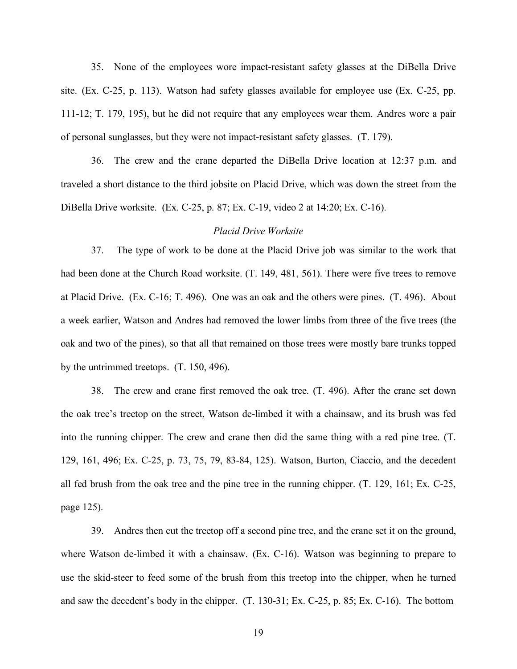35. None of the employees wore impact-resistant safety glasses at the DiBella Drive site. (Ex. C-25, p. 113). Watson had safety glasses available for employee use (Ex. C-25, pp. 111-12; T. 179, 195), but he did not require that any employees wear them. Andres wore a pair of personal sunglasses, but they were not impact-resistant safety glasses. (T. 179).

 36. The crew and the crane departed the DiBella Drive location at 12:37 p.m. and traveled a short distance to the third jobsite on Placid Drive, which was down the street from the DiBella Drive worksite. (Ex. C-25, p. 87; Ex. C-19, video 2 at 14:20; Ex. C-16).

#### *Placid Drive Worksite*

 37. The type of work to be done at the Placid Drive job was similar to the work that had been done at the Church Road worksite. (T. 149, 481, 561). There were five trees to remove at Placid Drive. (Ex. C-16; T. 496). One was an oak and the others were pines. (T. 496). About a week earlier, Watson and Andres had removed the lower limbs from three of the five trees (the oak and two of the pines), so that all that remained on those trees were mostly bare trunks topped by the untrimmed treetops. (T. 150, 496).

 38. The crew and crane first removed the oak tree. (T. 496). After the crane set down the oak tree's treetop on the street, Watson de-limbed it with a chainsaw, and its brush was fed into the running chipper. The crew and crane then did the same thing with a red pine tree. (T. 129, 161, 496; Ex. C-25, p. 73, 75, 79, 83-84, 125). Watson, Burton, Ciaccio, and the decedent all fed brush from the oak tree and the pine tree in the running chipper. (T. 129, 161; Ex. C-25, page 125).

 39. Andres then cut the treetop off a second pine tree, and the crane set it on the ground, where Watson de-limbed it with a chainsaw. (Ex. C-16). Watson was beginning to prepare to use the skid-steer to feed some of the brush from this treetop into the chipper, when he turned and saw the decedent's body in the chipper. (T. 130-31; Ex. C-25, p. 85; Ex. C-16). The bottom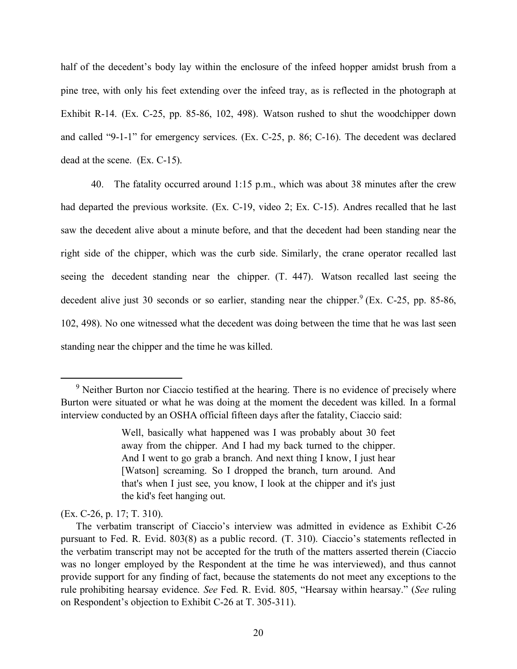half of the decedent's body lay within the enclosure of the infeed hopper amidst brush from a pine tree, with only his feet extending over the infeed tray, as is reflected in the photograph at Exhibit R-14. (Ex. C-25, pp. 85-86, 102, 498). Watson rushed to shut the woodchipper down and called "9-1-1" for emergency services. (Ex. C-25, p. 86; C-16). The decedent was declared dead at the scene. (Ex. C-15).

 40. The fatality occurred around 1:15 p.m., which was about 38 minutes after the crew had departed the previous worksite. (Ex. C-19, video 2; Ex. C-15). Andres recalled that he last saw the decedent alive about a minute before, and that the decedent had been standing near the right side of the chipper, which was the curb side. Similarly, the crane operator recalled last seeing the decedent standing near the chipper. (T. 447). Watson recalled last seeing the decedent alive just 30 seconds or so earlier, standing near the chipper.  $9$  (Ex. C-25, pp. 85-86, 102, 498). No one witnessed what the decedent was doing between the time that he was last seen standing near the chipper and the time he was killed.

<span id="page-19-0"></span> $9$  Neither Burton nor Ciaccio testified at the hearing. There is no evidence of precisely where Burton were situated or what he was doing at the moment the decedent was killed. In a formal interview conducted by an OSHA official fifteen days after the fatality, Ciaccio said:

 Well, basically what happened was I was probably about 30 feet away from the chipper. And I had my back turned to the chipper. And I went to go grab a branch. And next thing I know, I just hear [Watson] screaming. So I dropped the branch, turn around. And that's when I just see, you know, I look at the chipper and it's just the kid's feet hanging out.

 (Ex. C-26, p. 17; T. 310).

 The verbatim transcript of Ciaccio's interview was admitted in evidence as Exhibit C-26 pursuant to Fed. R. Evid. 803(8) as a public record. (T. 310). Ciaccio's statements reflected in the verbatim transcript may not be accepted for the truth of the matters asserted therein (Ciaccio was no longer employed by the Respondent at the time he was interviewed), and thus cannot provide support for any finding of fact, because the statements do not meet any exceptions to the rule prohibiting hearsay evidence. *See* Fed. R. Evid. 805, "Hearsay within hearsay." (*See* ruling on Respondent's objection to Exhibit C-26 at T. 305-311).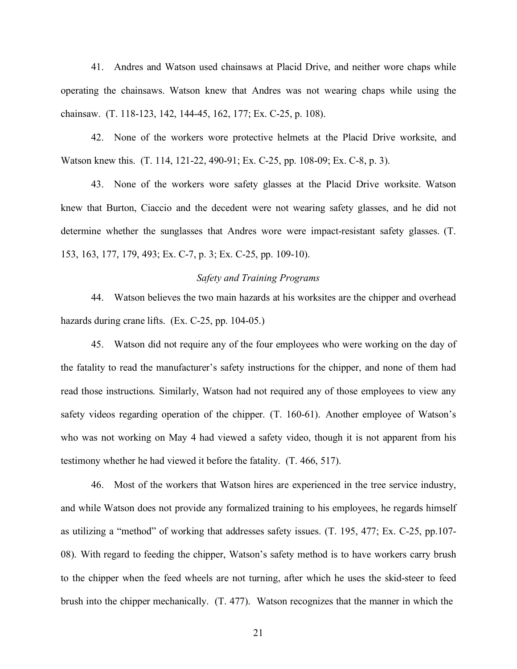41. Andres and Watson used chainsaws at Placid Drive, and neither wore chaps while operating the chainsaws. Watson knew that Andres was not wearing chaps while using the chainsaw. (T. 118-123, 142, 144-45, 162, 177; Ex. C-25, p. 108).

 42. None of the workers wore protective helmets at the Placid Drive worksite, and Watson knew this. (T. 114, 121-22, 490-91; Ex. C-25, pp. 108-09; Ex. C-8, p. 3).

 43. None of the workers wore safety glasses at the Placid Drive worksite. Watson knew that Burton, Ciaccio and the decedent were not wearing safety glasses, and he did not determine whether the sunglasses that Andres wore were impact-resistant safety glasses. (T. 153, 163, 177, 179, 493; Ex. C-7, p. 3; Ex. C-25, pp. 109-10).

### *Safety and Training Programs*

 44. Watson believes the two main hazards at his worksites are the chipper and overhead hazards during crane lifts. (Ex. C-25, pp. 104-05.)

 45. Watson did not require any of the four employees who were working on the day of the fatality to read the manufacturer's safety instructions for the chipper, and none of them had read those instructions. Similarly, Watson had not required any of those employees to view any safety videos regarding operation of the chipper. (T. 160-61). Another employee of Watson's who was not working on May 4 had viewed a safety video, though it is not apparent from his testimony whether he had viewed it before the fatality. (T. 466, 517).

 46. Most of the workers that Watson hires are experienced in the tree service industry, and while Watson does not provide any formalized training to his employees, he regards himself as utilizing a "method" of working that addresses safety issues. (T. 195, 477; Ex. C-25, pp.107- 08). With regard to feeding the chipper, Watson's safety method is to have workers carry brush to the chipper when the feed wheels are not turning, after which he uses the skid-steer to feed brush into the chipper mechanically. (T. 477). Watson recognizes that the manner in which the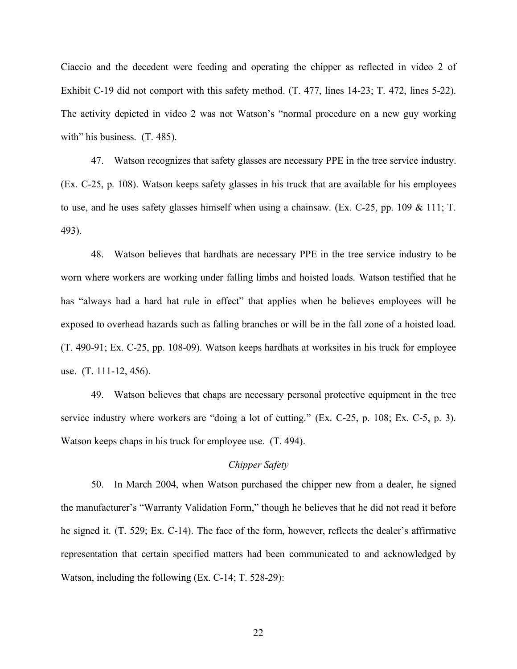Ciaccio and the decedent were feeding and operating the chipper as reflected in video 2 of Exhibit C-19 did not comport with this safety method. (T. 477, lines 14-23; T. 472, lines 5-22). The activity depicted in video 2 was not Watson's "normal procedure on a new guy working with" his business. (T. 485).

 47. Watson recognizes that safety glasses are necessary PPE in the tree service industry. (Ex. C-25, p. 108). Watson keeps safety glasses in his truck that are available for his employees to use, and he uses safety glasses himself when using a chainsaw. (Ex. C-25, pp. 109 & 111; T. 493).

 48. Watson believes that hardhats are necessary PPE in the tree service industry to be worn where workers are working under falling limbs and hoisted loads. Watson testified that he has "always had a hard hat rule in effect" that applies when he believes employees will be exposed to overhead hazards such as falling branches or will be in the fall zone of a hoisted load. (T. 490-91; Ex. C-25, pp. 108-09). Watson keeps hardhats at worksites in his truck for employee use. (T. 111-12, 456).

 49. Watson believes that chaps are necessary personal protective equipment in the tree service industry where workers are "doing a lot of cutting." (Ex. C-25, p. 108; Ex. C-5, p. 3). Watson keeps chaps in his truck for employee use. (T. 494).

### *Chipper Safety*

 50. In March 2004, when Watson purchased the chipper new from a dealer, he signed the manufacturer's "Warranty Validation Form," though he believes that he did not read it before he signed it. (T. 529; Ex. C-14). The face of the form, however, reflects the dealer's affirmative representation that certain specified matters had been communicated to and acknowledged by Watson, including the following (Ex. C-14; T. 528-29):

22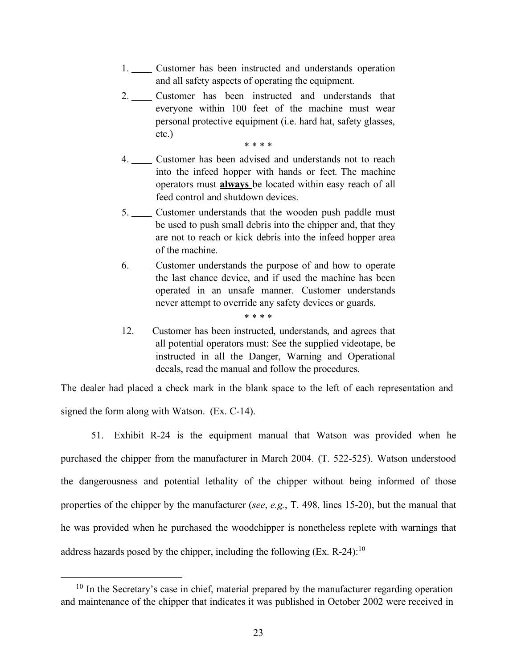- 1. Customer has been instructed and understands operation and all safety aspects of operating the equipment.
- 2. Customer has been instructed and understands that everyone within 100 feet of the machine must wear personal protective equipment (i.e. hard hat, safety glasses, etc.)

\* \* \* \*

- $4.$  into the infeed hopper with hands or feet. The machine operators must **always** be located within easy reach of all feed control and shutdown devices. Customer has been advised and understands not to reach
- 5. Customer understands that the wooden push paddle must be used to push small debris into the chipper and, that they are not to reach or kick debris into the infeed hopper area of the machine.
- 6. Customer understands the purpose of and how to operate the last chance device, and if used the machine has been operated in an unsafe manner. Customer understands never attempt to override any safety devices or guards.

\* \* \* \*

12. all potential operators must: See the supplied videotape, be instructed in all the Danger, Warning and Operational decals, read the manual and follow the procedures. Customer has been instructed, understands, and agrees that

 The dealer had placed a check mark in the blank space to the left of each representation and signed the form along with Watson. (Ex. C-14).

 51. Exhibit R-24 is the equipment manual that Watson was provided when he purchased the chipper from the manufacturer in March 2004. (T. 522-525). Watson understood the dangerousness and potential lethality of the chipper without being informed of those properties of the chipper by the manufacturer (*see*, *e.g.*, T. 498, lines 15-20), but the manual that he was provided when he purchased the woodchipper is nonetheless replete with warnings that address hazards posed by the chipper, including the following (Ex. R-24):<sup>10</sup>

<span id="page-22-0"></span> $10$  In the Secretary's case in chief, material prepared by the manufacturer regarding operation and maintenance of the chipper that indicates it was published in October 2002 were received in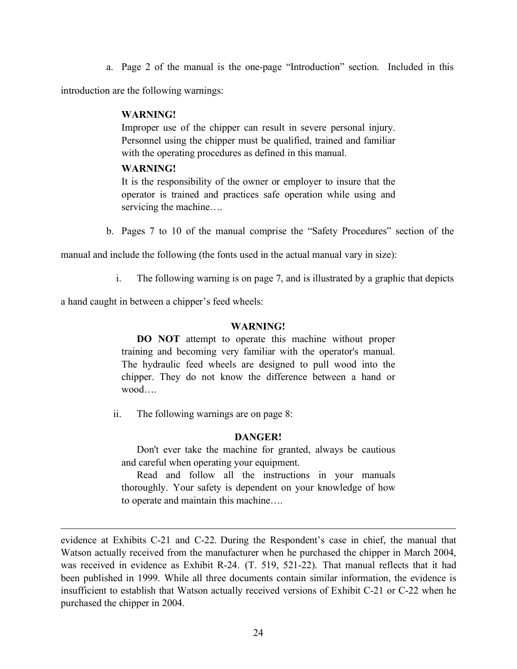a. Page 2 of the manual is the one-page "Introduction" section. Included in this

introduction are the following warnings:

### **WARNING!**

 Improper use of the chipper can result in severe personal injury. Personnel using the chipper must be qualified, trained and familiar with the operating procedures as defined in this manual.

### **WARNING!**

 It is the responsibility of the owner or employer to insure that the operator is trained and practices safe operation while using and servicing the machine….

b. Pages 7 to 10 of the manual comprise the "Safety Procedures" section of the

manual and include the following (the fonts used in the actual manual vary in size):

i. The following warning is on page 7, and is illustrated by a graphic that depicts

a hand caught in between a chipper's feed wheels:

### **WARNING!**

 **DO NOT** attempt to operate this machine without proper training and becoming very familiar with the operator's manual. The hydraulic feed wheels are designed to pull wood into the chipper. They do not know the difference between a hand or wood….

ii. The following warnings are on page 8:

### **DANGER!**

 Don't ever take the machine for granted, always be cautious and careful when operating your equipment.

 Read and follow all the instructions in your manuals thoroughly. Your safety is dependent on your knowledge of how to operate and maintain this machine….

 evidence at Exhibits C-21 and C-22. During the Respondent's case in chief, the manual that Watson actually received from the manufacturer when he purchased the chipper in March 2004, was received in evidence as Exhibit R-24. (T. 519, 521-22). That manual reflects that it had been published in 1999. While all three documents contain similar information, the evidence is insufficient to establish that Watson actually received versions of Exhibit C-21 or C-22 when he purchased the chipper in 2004.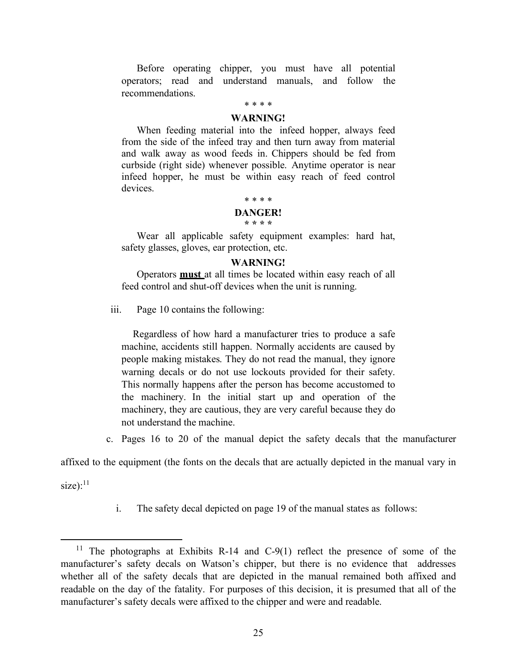Before operating chipper, you must have all potential operators; read and understand manuals, and follow the recommendations.

### \* \* \* \*

#### **WARNING!**

 When feeding material into the infeed hopper, always feed from the side of the infeed tray and then turn away from material and walk away as wood feeds in. Chippers should be fed from curbside (right side) whenever possible. Anytime operator is near infeed hopper, he must be within easy reach of feed control devices.

#### \* \* \* \*

#### **DANGER! \* \* \* \***

 Wear all applicable safety equipment examples: hard hat, safety glasses, gloves, ear protection, etc.

#### **WARNING!**

 Operators **must** at all times be located within easy reach of all feed control and shut-off devices when the unit is running.

iii. Page 10 contains the following:

 Regardless of how hard a manufacturer tries to produce a safe machine, accidents still happen. Normally accidents are caused by people making mistakes. They do not read the manual, they ignore warning decals or do not use lockouts provided for their safety. This normally happens after the person has become accustomed to the machinery. In the initial start up and operation of the machinery, they are cautious, they are very careful because they do not understand the machine.

c. Pages 16 to 20 of the manual depict the safety decals that the manufacturer

affixed to the equipment (the fonts on the decals that are actually depicted in the manual vary in

 $size):$ <sup>11</sup>

i. The safety decal depicted on page 19 of the manual states as follows:

<span id="page-24-0"></span><sup>&</sup>lt;sup>11</sup> The photographs at Exhibits R-14 and C-9(1) reflect the presence of some of the manufacturer's safety decals on Watson's chipper, but there is no evidence that addresses whether all of the safety decals that are depicted in the manual remained both affixed and readable on the day of the fatality. For purposes of this decision, it is presumed that all of the manufacturer's safety decals were affixed to the chipper and were and readable.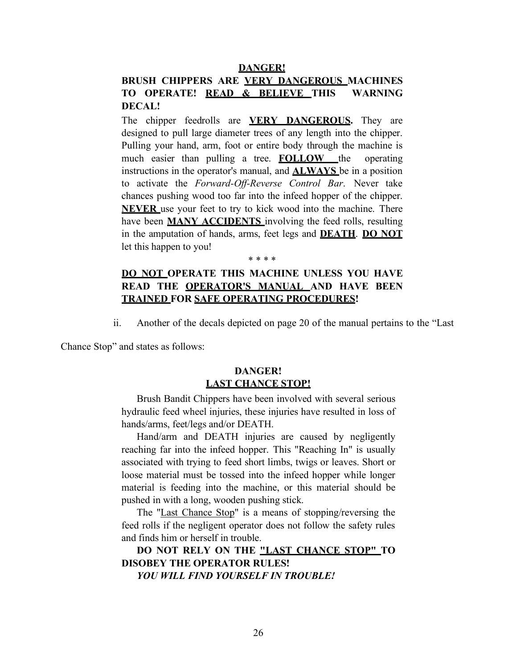#### **DANGER!**

### **BRUSH CHIPPERS ARE VERY DANGEROUS MACHINES TO OPERATE! READ & BELIEVE THIS WARNING DECAL!**

 The chipper feedrolls are **VERY DANGEROUS.** They are designed to pull large diameter trees of any length into the chipper. Pulling your hand, arm, foot or entire body through the machine is much easier than pulling a tree. **FOLLOW** the operating instructions in the operator's manual, and **ALWAYS** be in a position to activate the *Forward-Off-Reverse Control Bar*. Never take chances pushing wood too far into the infeed hopper of the chipper. **NEVER** use your feet to try to kick wood into the machine. There have been **MANY ACCIDENTS** involving the feed rolls, resulting in the amputation of hands, arms, feet legs and **DEATH**. **DO NOT**  let this happen to you!

## **DO NOT OPERATE THIS MACHINE UNLESS YOU HAVE READ THE OPERATOR'S MANUAL AND HAVE BEEN TRAINED FOR SAFE OPERATING PROCEDURES!**

\* \* \* \*

ii. Another of the decals depicted on page 20 of the manual pertains to the "Last

Chance Stop" and states as follows:

### **LAST CHANCE STOP! DANGER!**

 Brush Bandit Chippers have been involved with several serious hydraulic feed wheel injuries, these injuries have resulted in loss of hands/arms, feet/legs and/or DEATH.

 Hand/arm and DEATH injuries are caused by negligently reaching far into the infeed hopper. This "Reaching In" is usually associated with trying to feed short limbs, twigs or leaves. Short or loose material must be tossed into the infeed hopper while longer material is feeding into the machine, or this material should be pushed in with a long, wooden pushing stick.

The "Last Chance Stop" is a means of stopping/reversing the feed rolls if the negligent operator does not follow the safety rules and finds him or herself in trouble.

 **DO NOT RELY ON THE "LAST CHANCE STOP" TO DISOBEY THE OPERATOR RULES!** 

 *YOU WILL FIND YOURSELF IN TROUBLE!*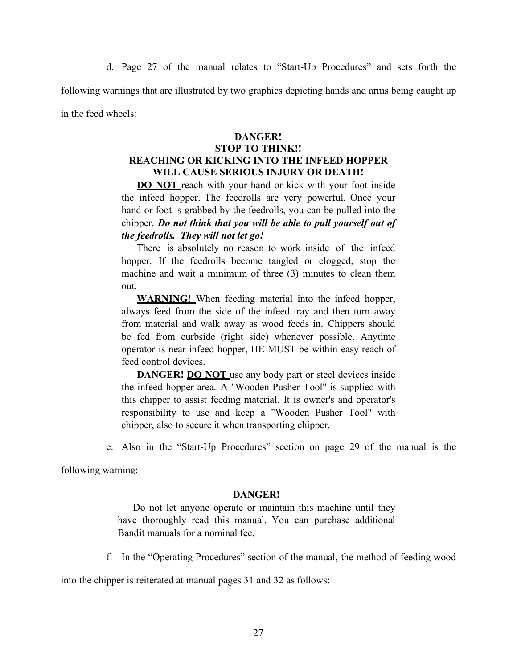d. Page 27 of the manual relates to "Start-Up Procedures" and sets forth the following warnings that are illustrated by two graphics depicting hands and arms being caught up in the feed wheels:

### **DANGER!**

### **STOP TO THINK!! REACHING OR KICKING INTO THE INFEED HOPPER WILL CAUSE SERIOUS INJURY OR DEATH!**

**DO NOT** reach with your hand or kick with your foot inside the infeed hopper. The feedrolls are very powerful. Once your hand or foot is grabbed by the feedrolls, you can be pulled into the  chipper. *Do not think that you will be able to pull yourself out of the feedrolls. They will not let go!* 

 There is absolutely no reason to work inside of the infeed hopper. If the feedrolls become tangled or clogged, stop the machine and wait a minimum of three (3) minutes to clean them out.

 **WARNING!** When feeding material into the infeed hopper, always feed from the side of the infeed tray and then turn away from material and walk away as wood feeds in. Chippers should be fed from curbside (right side) whenever possible. Anytime operator is near infeed hopper, HE MUST be within easy reach of feed control devices.

**DANGER!** DO NOT use any body part or steel devices inside the infeed hopper area. A "Wooden Pusher Tool" is supplied with this chipper to assist feeding material. It is owner's and operator's responsibility to use and keep a "Wooden Pusher Tool" with chipper, also to secure it when transporting chipper.

e. Also in the "Start-Up Procedures" section on page 29 of the manual is the

following warning:

#### **DANGER!**

 Do not let anyone operate or maintain this machine until they have thoroughly read this manual. You can purchase additional Bandit manuals for a nominal fee.

f. In the "Operating Procedures" section of the manual, the method of feeding wood

into the chipper is reiterated at manual pages 31 and 32 as follows: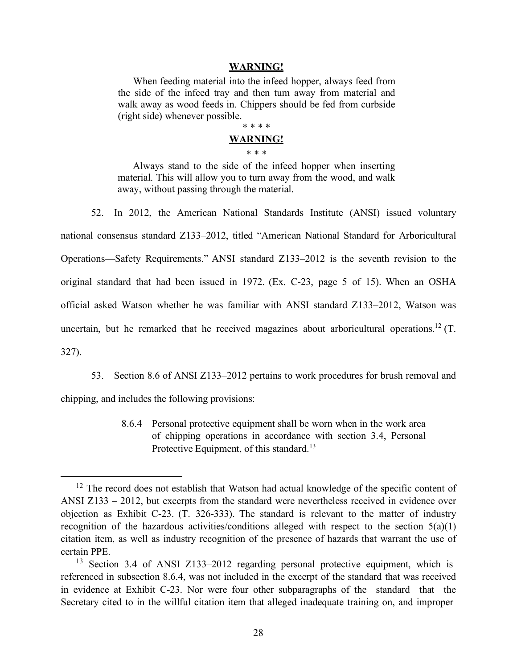#### **WARNING!**

 When feeding material into the infeed hopper, always feed from the side of the infeed tray and then tum away from material and walk away as wood feeds in. Chippers should be fed from curbside (right side) whenever possible.

# \* \* \* \*

#### **WARNING!**  \* \* \*

 Always stand to the side of the infeed hopper when inserting material. This will allow you to turn away from the wood, and walk away, without passing through the material.

 52. In 2012, the American National Standards Institute (ANSI) issued voluntary national consensus standard Z133–2012, titled "American National Standard for Arboricultural Operations—Safety Requirements." ANSI standard Z133–2012 is the seventh revision to the original standard that had been issued in 1972. (Ex. C-23, page 5 of 15). When an OSHA official asked Watson whether he was familiar with ANSI standard Z133–2012, Watson was uncertain, but he remarked that he received magazines about arboricultural operations.<sup>12</sup> (T. 327).

 53. Section 8.6 of ANSI Z133–2012 pertains to work procedures for brush removal and chipping, and includes the following provisions:

> 8.6.4 Personal protective equipment shall be worn when in the work area of chipping operations in accordance with section 3.4, Personal Protective Equipment, of this standard.<sup>13</sup>

<span id="page-27-0"></span> $12$  The record does not establish that Watson had actual knowledge of the specific content of ANSI Z133 – 2012, but excerpts from the standard were nevertheless received in evidence over objection as Exhibit C-23. (T. 326-333). The standard is relevant to the matter of industry recognition of the hazardous activities/conditions alleged with respect to the section 5(a)(1) citation item, as well as industry recognition of the presence of hazards that warrant the use of certain PPE.

<span id="page-27-1"></span><sup>&</sup>lt;sup>13</sup> Section 3.4 of ANSI Z133-2012 regarding personal protective equipment, which is referenced in subsection 8.6.4, was not included in the excerpt of the standard that was received in evidence at Exhibit C-23. Nor were four other subparagraphs of the standard that the Secretary cited to in the willful citation item that alleged inadequate training on, and improper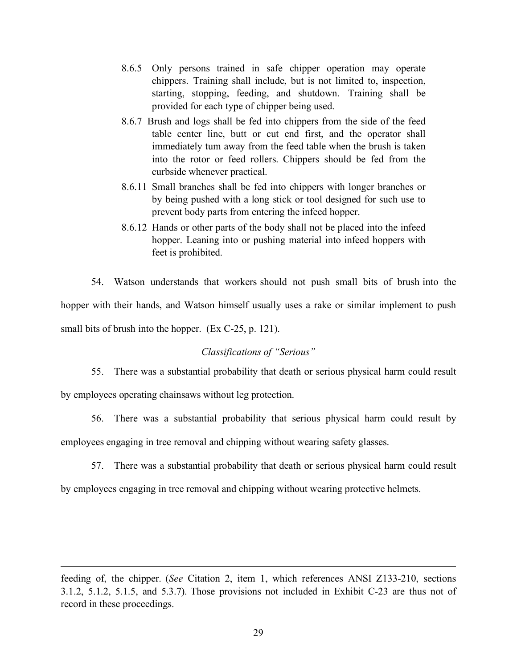- 8.6.5 Only persons trained in safe chipper operation may operate chippers. Training shall include, but is not limited to, inspection, starting, stopping, feeding, and shutdown. Training shall be provided for each type of chipper being used.
- 8.6.7 Brush and logs shall be fed into chippers from the side of the feed table center line, butt or cut end first, and the operator shall immediately tum away from the feed table when the brush is taken into the rotor or feed rollers. Chippers should be fed from the curbside whenever practical.
- 8.6.11 Small branches shall be fed into chippers with longer branches or by being pushed with a long stick or tool designed for such use to prevent body parts from entering the infeed hopper.
- 8.6.12 Hands or other parts of the body shall not be placed into the infeed hopper. Leaning into or pushing material into infeed hoppers with feet is prohibited.

 54. Watson understands that workers should not push small bits of brush into the hopper with their hands, and Watson himself usually uses a rake or similar implement to push small bits of brush into the hopper. (Ex C-25, p. 121).

### *Classifications of "Serious"*

 55. There was a substantial probability that death or serious physical harm could result by employees operating chainsaws without leg protection.

 56. There was a substantial probability that serious physical harm could result by employees engaging in tree removal and chipping without wearing safety glasses.

57. There was a substantial probability that death or serious physical harm could result

by employees engaging in tree removal and chipping without wearing protective helmets.

 feeding of, the chipper. (*See* Citation 2, item 1, which references ANSI Z133-210, sections 3.1.2, 5.1.2, 5.1.5, and 5.3.7). Those provisions not included in Exhibit C-23 are thus not of record in these proceedings.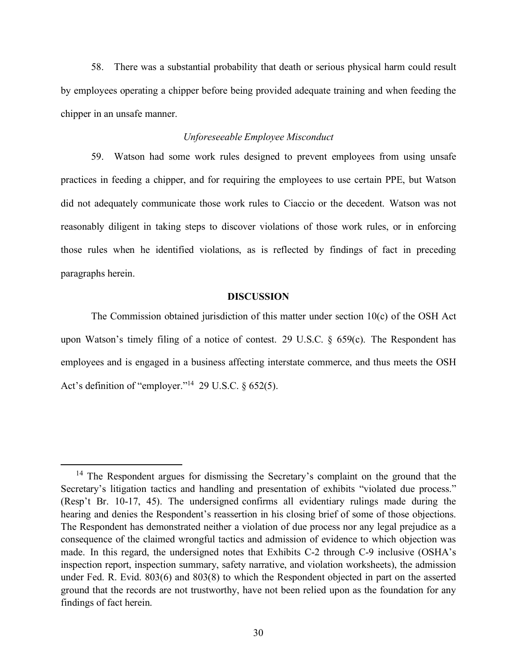58. There was a substantial probability that death or serious physical harm could result by employees operating a chipper before being provided adequate training and when feeding the chipper in an unsafe manner.

### *Unforeseeable Employee Misconduct*

 59. Watson had some work rules designed to prevent employees from using unsafe practices in feeding a chipper, and for requiring the employees to use certain PPE, but Watson did not adequately communicate those work rules to Ciaccio or the decedent. Watson was not reasonably diligent in taking steps to discover violations of those work rules, or in enforcing those rules when he identified violations, as is reflected by findings of fact in preceding paragraphs herein.

### **DISCUSSION**

 The Commission obtained jurisdiction of this matter under section 10(c) of the OSH Act upon Watson's timely filing of a notice of contest. 29 U.S.C. § 659(c). The Respondent has employees and is engaged in a business affecting interstate commerce, and thus meets the OSH Act's definition of "employer."<sup>14</sup> 29 U.S.C.  $\S 652(5)$ .

<span id="page-29-0"></span><sup>&</sup>lt;sup>14</sup> The Respondent argues for dismissing the Secretary's complaint on the ground that the Secretary's litigation tactics and handling and presentation of exhibits "violated due process." (Resp't Br. 10-17, 45). The undersigned confirms all evidentiary rulings made during the hearing and denies the Respondent's reassertion in his closing brief of some of those objections. The Respondent has demonstrated neither a violation of due process nor any legal prejudice as a consequence of the claimed wrongful tactics and admission of evidence to which objection was made. In this regard, the undersigned notes that Exhibits C-2 through C-9 inclusive (OSHA's inspection report, inspection summary, safety narrative, and violation worksheets), the admission under Fed. R. Evid. 803(6) and 803(8) to which the Respondent objected in part on the asserted ground that the records are not trustworthy, have not been relied upon as the foundation for any findings of fact herein.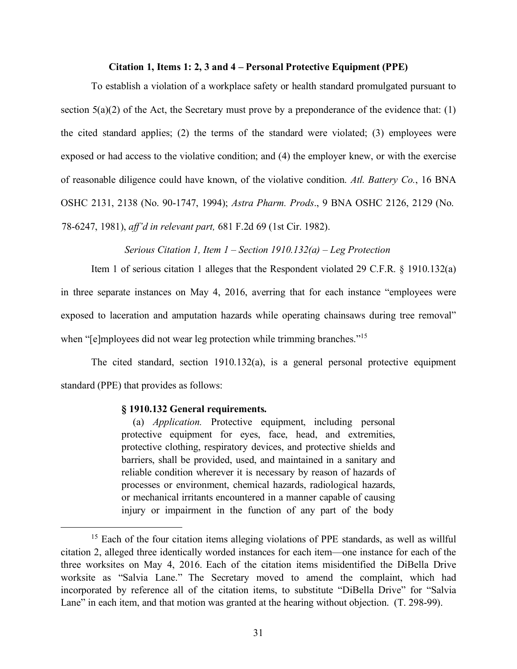### **Citation 1, Items 1: 2, 3 and 4 – Personal Protective Equipment (PPE)**

 To establish a violation of a workplace safety or health standard promulgated pursuant to section  $5(a)(2)$  of the Act, the Secretary must prove by a preponderance of the evidence that: (1) the cited standard applies; (2) the terms of the standard were violated; (3) employees were exposed or had access to the violative condition; and (4) the employer knew, or with the exercise of reasonable diligence could have known, of the violative condition. *Atl. Battery Co.*, 16 BNA OSHC 2131, 2138 (No. 90-1747, 1994); *Astra Pharm. Prods*., 9 BNA OSHC 2126, 2129 (No. 78-6247, 1981), *aff'd in relevant part,* 681 F.2d 69 (1st Cir. 1982).

 *Serious Citation 1, Item 1 – Section 1910.132(a) – Leg Protection* 

 Item 1 of serious citation 1 alleges that the Respondent violated 29 C.F.R. § 1910.132(a) in three separate instances on May 4, 2016, averring that for each instance "employees were exposed to laceration and amputation hazards while operating chainsaws during tree removal" when "[e]mployees did not wear leg protection while trimming branches."<sup>15</sup>

 The cited standard, section 1910.132(a), is a general personal protective equipment standard (PPE) that provides as follows:

### **§ 1910.132 General requirements.**

 (a) *Application.* Protective equipment, including personal protective equipment for eyes, face, head, and extremities, protective clothing, respiratory devices, and protective shields and barriers, shall be provided, used, and maintained in a sanitary and reliable condition wherever it is necessary by reason of hazards of processes or environment, chemical hazards, radiological hazards, or mechanical irritants encountered in a manner capable of causing injury or impairment in the function of any part of the body

<span id="page-30-0"></span><sup>&</sup>lt;sup>15</sup> Each of the four citation items alleging violations of PPE standards, as well as willful citation 2, alleged three identically worded instances for each item—one instance for each of the three worksites on May 4, 2016. Each of the citation items misidentified the DiBella Drive worksite as "Salvia Lane." The Secretary moved to amend the complaint, which had incorporated by reference all of the citation items, to substitute "DiBella Drive" for "Salvia Lane" in each item, and that motion was granted at the hearing without objection. (T. 298-99).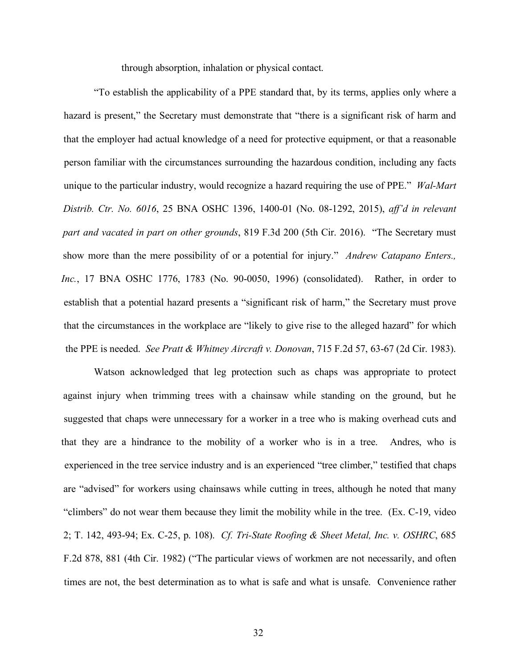through absorption, inhalation or physical contact.

 "To establish the applicability of a PPE standard that, by its terms, applies only where a hazard is present," the Secretary must demonstrate that "there is a significant risk of harm and that the employer had actual knowledge of a need for protective equipment, or that a reasonable person familiar with the circumstances surrounding the hazardous condition, including any facts unique to the particular industry, would recognize a hazard requiring the use of PPE." *Wal-Mart Distrib. Ctr. No. 6016*, 25 BNA OSHC 1396, 1400-01 (No. 08-1292, 2015), *aff'd in relevant part and vacated in part on other grounds*, 819 F.3d 200 (5th Cir. 2016). "The Secretary must show more than the mere possibility of or a potential for injury." *Andrew Catapano Enters., Inc.*, 17 BNA OSHC 1776, 1783 (No. 90-0050, 1996) (consolidated). Rather, in order to establish that a potential hazard presents a "significant risk of harm," the Secretary must prove that the circumstances in the workplace are "likely to give rise to the alleged hazard" for which the PPE is needed. *See Pratt & Whitney Aircraft v. Donovan*, 715 F.2d 57, 63-67 (2d Cir. 1983).

 Watson acknowledged that leg protection such as chaps was appropriate to protect against injury when trimming trees with a chainsaw while standing on the ground, but he suggested that chaps were unnecessary for a worker in a tree who is making overhead cuts and that they are a hindrance to the mobility of a worker who is in a tree. Andres, who is experienced in the tree service industry and is an experienced "tree climber," testified that chaps are "advised" for workers using chainsaws while cutting in trees, although he noted that many "climbers" do not wear them because they limit the mobility while in the tree. (Ex. C-19, video 2; T. 142, 493-94; Ex. C-25, p. 108). *Cf. Tri-State Roofing & Sheet Metal, Inc. v. OSHRC*, 685 F.2d 878, 881 (4th Cir. 1982) ("The particular views of workmen are not necessarily, and often times are not, the best determination as to what is safe and what is unsafe. Convenience rather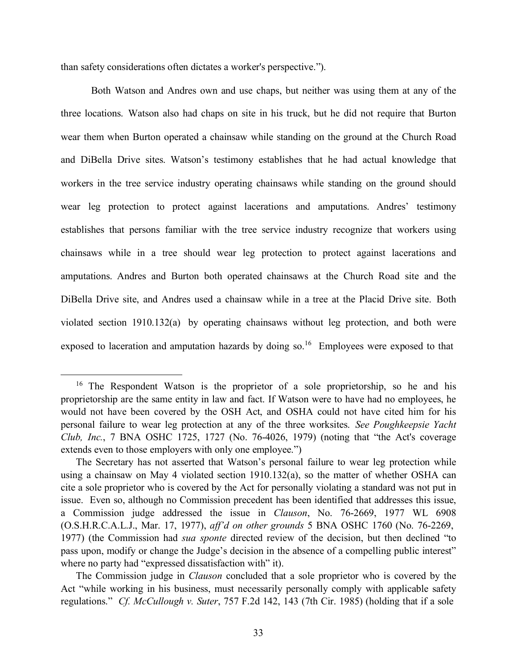than safety considerations often dictates a worker's perspective.").

 Both Watson and Andres own and use chaps, but neither was using them at any of the three locations. Watson also had chaps on site in his truck, but he did not require that Burton wear them when Burton operated a chainsaw while standing on the ground at the Church Road and DiBella Drive sites. Watson's testimony establishes that he had actual knowledge that workers in the tree service industry operating chainsaws while standing on the ground should wear leg protection to protect against lacerations and amputations. Andres' testimony establishes that persons familiar with the tree service industry recognize that workers using chainsaws while in a tree should wear leg protection to protect against lacerations and amputations. Andres and Burton both operated chainsaws at the Church Road site and the DiBella Drive site, and Andres used a chainsaw while in a tree at the Placid Drive site. Both violated section 1910.132(a) by operating chainsaws without leg protection, and both were exposed to laceration and amputation hazards by doing so.<sup>16</sup> Employees were exposed to that

<span id="page-32-0"></span><sup>&</sup>lt;sup>16</sup> The Respondent Watson is the proprietor of a sole proprietorship, so he and his proprietorship are the same entity in law and fact. If Watson were to have had no employees, he would not have been covered by the OSH Act, and OSHA could not have cited him for his personal failure to wear leg protection at any of the three worksites. *See Poughkeepsie Yacht Club, Inc.*, 7 BNA OSHC 1725, 1727 (No. 76-4026, 1979) (noting that "the Act's coverage extends even to those employers with only one employee.")

 The Secretary has not asserted that Watson's personal failure to wear leg protection while using a chainsaw on May 4 violated section 1910.132(a), so the matter of whether OSHA can cite a sole proprietor who is covered by the Act for personally violating a standard was not put in issue. Even so, although no Commission precedent has been identified that addresses this issue, a Commission judge addressed the issue in *Clauson*, No. 76-2669, 1977 WL 6908 (O.S.H.R.C.A.L.J., Mar. 17, 1977), *aff'd on other grounds* 5 BNA OSHC 1760 (No. 76-2269, 1977) (the Commission had *sua sponte* directed review of the decision, but then declined "to pass upon, modify or change the Judge's decision in the absence of a compelling public interest" where no party had "expressed dissatisfaction with" it).

 The Commission judge in *Clauson* concluded that a sole proprietor who is covered by the Act "while working in his business, must necessarily personally comply with applicable safety regulations." *Cf. McCullough v. Suter*, 757 F.2d 142, 143 (7th Cir. 1985) (holding that if a sole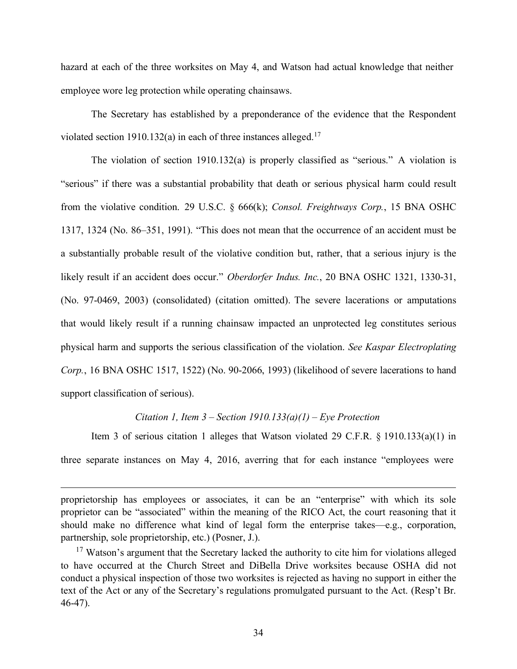hazard at each of the three worksites on May 4, and Watson had actual knowledge that neither employee wore leg protection while operating chainsaws.

 The Secretary has established by a preponderance of the evidence that the Respondent violated section 1910.132(a) in each of three instances alleged.<sup>17</sup>

 The violation of section 1910.132(a) is properly classified as "serious." A violation is "serious" if there was a substantial probability that death or serious physical harm could result from the violative condition. 29 U.S.C. § 666(k); *Consol. Freightways Corp.*, 15 BNA OSHC 1317, 1324 (No. 86–351, 1991). "This does not mean that the occurrence of an accident must be a substantially probable result of the violative condition but, rather, that a serious injury is the likely result if an accident does occur." *Oberdorfer Indus. Inc.*, 20 BNA OSHC 1321, 1330-31, (No. 97-0469, 2003) (consolidated) (citation omitted). The severe lacerations or amputations that would likely result if a running chainsaw impacted an unprotected leg constitutes serious physical harm and supports the serious classification of the violation. *See Kaspar Electroplating Corp.*, 16 BNA OSHC 1517, 1522) (No. 90-2066, 1993) (likelihood of severe lacerations to hand support classification of serious).

### *Citation 1, Item 3 – Section 1910.133(a)(1) – Eye Protection*

 Item 3 of serious citation 1 alleges that Watson violated 29 C.F.R. § 1910.133(a)(1) in three separate instances on May 4, 2016, averring that for each instance "employees were

 proprietorship has employees or associates, it can be an "enterprise" with which its sole proprietor can be "associated" within the meaning of the RICO Act, the court reasoning that it should make no difference what kind of legal form the enterprise takes—e.g., corporation, partnership, sole proprietorship, etc.) (Posner, J.).

<span id="page-33-0"></span><sup>&</sup>lt;sup>17</sup> Watson's argument that the Secretary lacked the authority to cite him for violations alleged to have occurred at the Church Street and DiBella Drive worksites because OSHA did not conduct a physical inspection of those two worksites is rejected as having no support in either the text of the Act or any of the Secretary's regulations promulgated pursuant to the Act. (Resp't Br. 46-47).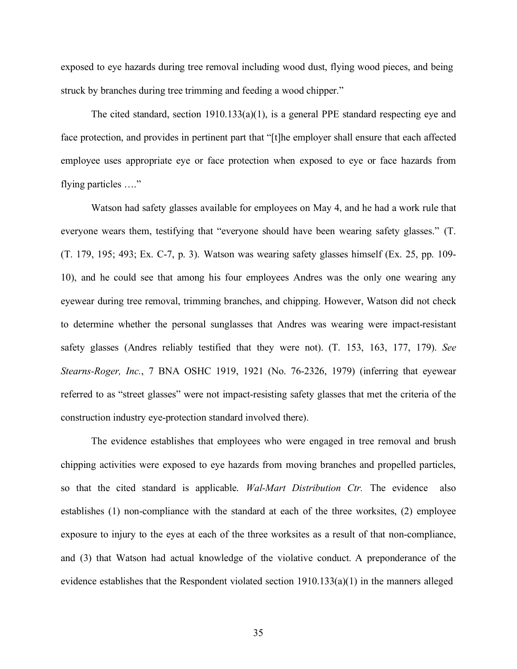exposed to eye hazards during tree removal including wood dust, flying wood pieces, and being struck by branches during tree trimming and feeding a wood chipper."

 The cited standard, section 1910.133(a)(1), is a general PPE standard respecting eye and face protection, and provides in pertinent part that "[t]he employer shall ensure that each affected employee uses appropriate eye or face protection when exposed to eye or face hazards from flying particles …."

 Watson had safety glasses available for employees on May 4, and he had a work rule that everyone wears them, testifying that "everyone should have been wearing safety glasses." (T. (T. 179, 195; 493; Ex. C-7, p. 3). Watson was wearing safety glasses himself (Ex. 25, pp. 109- 10), and he could see that among his four employees Andres was the only one wearing any eyewear during tree removal, trimming branches, and chipping. However, Watson did not check to determine whether the personal sunglasses that Andres was wearing were impact-resistant safety glasses (Andres reliably testified that they were not). (T. 153, 163, 177, 179). *See Stearns-Roger, Inc.*, 7 BNA OSHC 1919, 1921 (No. 76-2326, 1979) (inferring that eyewear referred to as "street glasses" were not impact-resisting safety glasses that met the criteria of the construction industry eye-protection standard involved there).

 The evidence establishes that employees who were engaged in tree removal and brush chipping activities were exposed to eye hazards from moving branches and propelled particles, so that the cited standard is applicable. *Wal-Mart Distribution Ctr.* The evidence also establishes (1) non-compliance with the standard at each of the three worksites, (2) employee exposure to injury to the eyes at each of the three worksites as a result of that non-compliance, and (3) that Watson had actual knowledge of the violative conduct. A preponderance of the evidence establishes that the Respondent violated section 1910.133(a)(1) in the manners alleged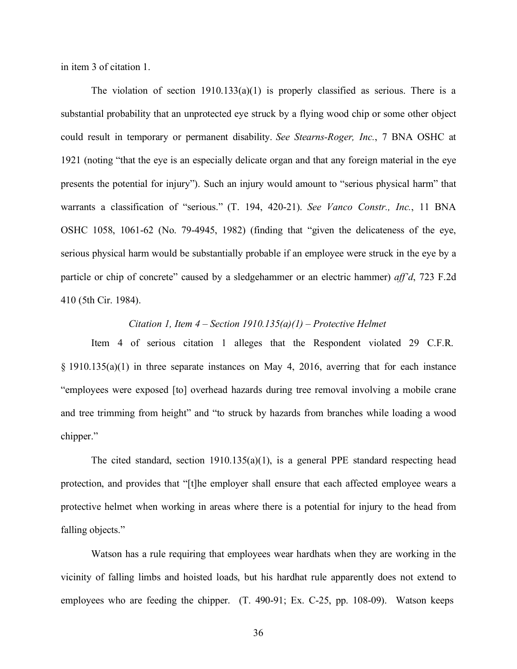in item 3 of citation 1.

The violation of section  $1910.133(a)(1)$  is properly classified as serious. There is a substantial probability that an unprotected eye struck by a flying wood chip or some other object could result in temporary or permanent disability. *See Stearns-Roger, Inc.*, 7 BNA OSHC at 1921 (noting "that the eye is an especially delicate organ and that any foreign material in the eye presents the potential for injury"). Such an injury would amount to "serious physical harm" that warrants a classification of "serious." (T. 194, 420-21). *See Vanco Constr., Inc.*, 11 BNA OSHC 1058, 1061-62 (No. 79-4945, 1982) (finding that "given the delicateness of the eye, serious physical harm would be substantially probable if an employee were struck in the eye by a particle or chip of concrete" caused by a sledgehammer or an electric hammer) *aff'd*, 723 F.2d 410 (5th Cir. 1984).

### Citation 1, Item  $4$  – Section 1910.135(a)(1) – Protective Helmet

 Item 4 of serious citation 1 alleges that the Respondent violated 29 C.F.R. § 1910.135(a)(1) in three separate instances on May 4, 2016, averring that for each instance "employees were exposed [to] overhead hazards during tree removal involving a mobile crane and tree trimming from height" and "to struck by hazards from branches while loading a wood chipper."

 The cited standard, section 1910.135(a)(1), is a general PPE standard respecting head protection, and provides that "[t]he employer shall ensure that each affected employee wears a protective helmet when working in areas where there is a potential for injury to the head from falling objects."

 Watson has a rule requiring that employees wear hardhats when they are working in the vicinity of falling limbs and hoisted loads, but his hardhat rule apparently does not extend to employees who are feeding the chipper. (T. 490-91; Ex. C-25, pp. 108-09). Watson keeps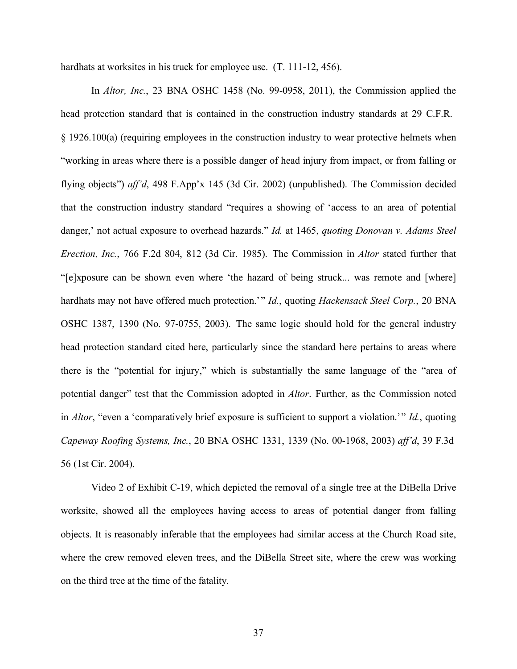hardhats at worksites in his truck for employee use. (T. 111-12, 456).

 In *Altor, Inc.*, 23 BNA OSHC 1458 (No. 99-0958, 2011), the Commission applied the head protection standard that is contained in the construction industry standards at 29 C.F.R. § 1926.100(a) (requiring employees in the construction industry to wear protective helmets when "working in areas where there is a possible danger of head injury from impact, or from falling or flying objects") *aff'd*, 498 F.App'x 145 (3d Cir. 2002) (unpublished). The Commission decided that the construction industry standard "requires a showing of 'access to an area of potential danger,' not actual exposure to overhead hazards." *Id.* at 1465, *quoting Donovan v. Adams Steel Erection, Inc.*, 766 F.2d 804, 812 (3d Cir. 1985). The Commission in *Altor* stated further that "[e]xposure can be shown even where 'the hazard of being struck... was remote and [where]   hardhats may not have offered much protection.'" *Id.*, quoting *Hackensack Steel Corp.*, 20 BNA OSHC 1387, 1390 (No. 97-0755, 2003). The same logic should hold for the general industry head protection standard cited here, particularly since the standard here pertains to areas where there is the "potential for injury," which is substantially the same language of the "area of potential danger" test that the Commission adopted in *Altor*. Further, as the Commission noted   in *Altor*, "even a 'comparatively brief exposure is sufficient to support a violation.'" *Id.*, quoting  *Capeway Roofing Systems, Inc.*, 20 BNA OSHC 1331, 1339 (No. 00-1968, 2003) *aff'd*, 39 F.3d 56 (1st Cir. 2004).

 Video 2 of Exhibit C-19, which depicted the removal of a single tree at the DiBella Drive worksite, showed all the employees having access to areas of potential danger from falling objects. It is reasonably inferable that the employees had similar access at the Church Road site, where the crew removed eleven trees, and the DiBella Street site, where the crew was working on the third tree at the time of the fatality.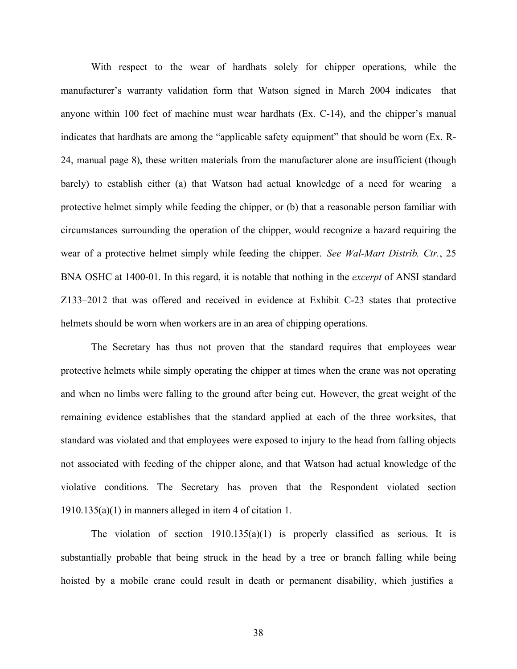With respect to the wear of hardhats solely for chipper operations, while the manufacturer's warranty validation form that Watson signed in March 2004 indicates that anyone within 100 feet of machine must wear hardhats (Ex. C-14), and the chipper's manual indicates that hardhats are among the "applicable safety equipment" that should be worn (Ex. R- 24, manual page 8), these written materials from the manufacturer alone are insufficient (though barely) to establish either (a) that Watson had actual knowledge of a need for wearing a protective helmet simply while feeding the chipper, or (b) that a reasonable person familiar with circumstances surrounding the operation of the chipper, would recognize a hazard requiring the wear of a protective helmet simply while feeding the chipper. *See Wal-Mart Distrib. Ctr.*, 25 BNA OSHC at 1400-01. In this regard, it is notable that nothing in the *excerpt* of ANSI standard Z133–2012 that was offered and received in evidence at Exhibit C-23 states that protective helmets should be worn when workers are in an area of chipping operations.

 The Secretary has thus not proven that the standard requires that employees wear protective helmets while simply operating the chipper at times when the crane was not operating and when no limbs were falling to the ground after being cut. However, the great weight of the remaining evidence establishes that the standard applied at each of the three worksites, that standard was violated and that employees were exposed to injury to the head from falling objects not associated with feeding of the chipper alone, and that Watson had actual knowledge of the violative conditions. The Secretary has proven that the Respondent violated section 1910.135(a)(1) in manners alleged in item 4 of citation 1.

The violation of section  $1910.135(a)(1)$  is properly classified as serious. It is substantially probable that being struck in the head by a tree or branch falling while being hoisted by a mobile crane could result in death or permanent disability, which justifies a

38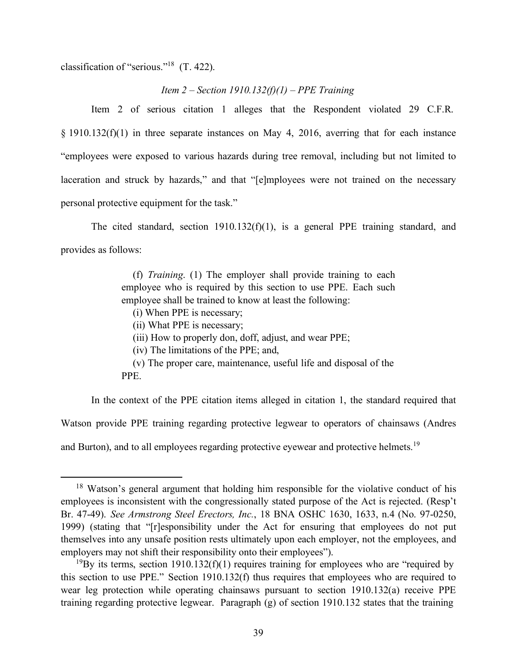classification of "serious."<sup>18</sup> (T. 422).

### *Item 2 – Section 1910.132(f)(1) – PPE Training*

 Item 2 of serious citation 1 alleges that the Respondent violated 29 C.F.R.  $\S$  1910.132(f)(1) in three separate instances on May 4, 2016, averring that for each instance "employees were exposed to various hazards during tree removal, including but not limited to laceration and struck by hazards," and that "[e]mployees were not trained on the necessary personal protective equipment for the task."

 The cited standard, section 1910.132(f)(1), is a general PPE training standard, and provides as follows:

> (f) *Training*. (1) The employer shall provide training to each employee who is required by this section to use PPE. Each such employee shall be trained to know at least the following:

- (i) When PPE is necessary;
- (ii) What PPE is necessary;

(iii) How to properly don, doff, adjust, and wear PPE;

(iv) The limitations of the PPE; and,

 (v) The proper care, maintenance, useful life and disposal of the PPE.

 In the context of the PPE citation items alleged in citation 1, the standard required that Watson provide PPE training regarding protective legwear to operators of chainsaws (Andres and Burton), and to all employees regarding protective eyewear and protective helmets.<sup>19</sup>

<span id="page-38-0"></span><sup>&</sup>lt;sup>18</sup> Watson's general argument that holding him responsible for the violative conduct of his employees is inconsistent with the congressionally stated purpose of the Act is rejected. (Resp't Br. 47-49). *See Armstrong Steel Erectors, Inc.*, 18 BNA OSHC 1630, 1633, n.4 (No. 97-0250, 1999) (stating that "[r]esponsibility under the Act for ensuring that employees do not put themselves into any unsafe position rests ultimately upon each employer, not the employees, and employers may not shift their responsibility onto their employees").

<span id="page-38-1"></span><sup>&</sup>lt;sup>19</sup>By its terms, section 1910.132(f)(1) requires training for employees who are "required by this section to use PPE." Section 1910.132(f) thus requires that employees who are required to wear leg protection while operating chainsaws pursuant to section 1910.132(a) receive PPE training regarding protective legwear. Paragraph (g) of section 1910.132 states that the training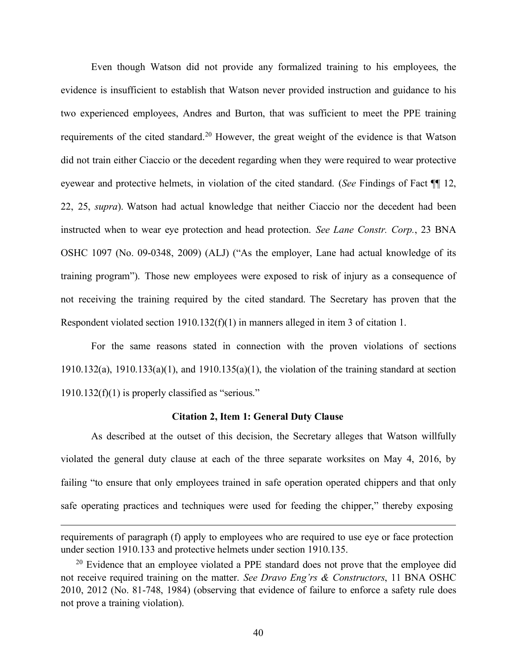Even though Watson did not provide any formalized training to his employees, the evidence is insufficient to establish that Watson never provided instruction and guidance to his two experienced employees, Andres and Burton, that was sufficient to meet the PPE training requirements of the cited standard.<sup>20</sup> However, the great weight of the evidence is that Watson did not train either Ciaccio or the decedent regarding when they were required to wear protective eyewear and protective helmets, in violation of the cited standard. (*See* Findings of Fact ¶¶ 12, 22, 25, *supra*). Watson had actual knowledge that neither Ciaccio nor the decedent had been instructed when to wear eye protection and head protection. *See Lane Constr. Corp.*, 23 BNA OSHC 1097 (No. 09-0348, 2009) (ALJ) ("As the employer, Lane had actual knowledge of its training program"). Those new employees were exposed to risk of injury as a consequence of not receiving the training required by the cited standard. The Secretary has proven that the Respondent violated section 1910.132(f)(1) in manners alleged in item 3 of citation 1.

 For the same reasons stated in connection with the proven violations of sections 1910.132(a), 1910.133(a)(1), and 1910.135(a)(1), the violation of the training standard at section 1910.132(f)(1) is properly classified as "serious."

### **Citation 2, Item 1: General Duty Clause**

 As described at the outset of this decision, the Secretary alleges that Watson willfully violated the general duty clause at each of the three separate worksites on May 4, 2016, by failing "to ensure that only employees trained in safe operation operated chippers and that only safe operating practices and techniques were used for feeding the chipper," thereby exposing

 requirements of paragraph (f) apply to employees who are required to use eye or face protection under section 1910.133 and protective helmets under section 1910.135.

<span id="page-39-0"></span><sup>&</sup>lt;sup>20</sup> Evidence that an employee violated a PPE standard does not prove that the employee did not receive required training on the matter. *See Dravo Eng'rs & Constructors*, 11 BNA OSHC 2010, 2012 (No. 81-748, 1984) (observing that evidence of failure to enforce a safety rule does not prove a training violation).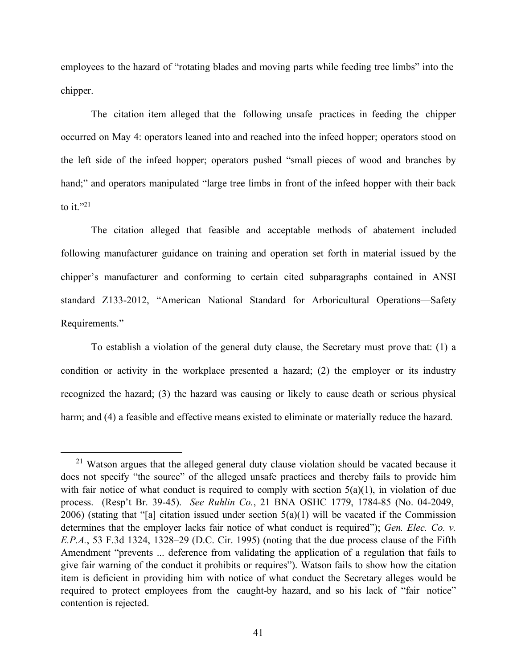employees to the hazard of "rotating blades and moving parts while feeding tree limbs" into the chipper.

 The citation item alleged that the following unsafe practices in feeding the chipper occurred on May 4: operators leaned into and reached into the infeed hopper; operators stood on the left side of the infeed hopper; operators pushed "small pieces of wood and branches by hand;" and operators manipulated "large tree limbs in front of the infeed hopper with their back to it." $^{21}$ 

 The citation alleged that feasible and acceptable methods of abatement included following manufacturer guidance on training and operation set forth in material issued by the chipper's manufacturer and conforming to certain cited subparagraphs contained in ANSI standard Z133-2012, "American National Standard for Arboricultural Operations—Safety Requirements."

 To establish a violation of the general duty clause, the Secretary must prove that: (1) a condition or activity in the workplace presented a hazard; (2) the employer or its industry recognized the hazard; (3) the hazard was causing or likely to cause death or serious physical harm; and (4) a feasible and effective means existed to eliminate or materially reduce the hazard.

<span id="page-40-0"></span> $21$  Watson argues that the alleged general duty clause violation should be vacated because it does not specify "the source" of the alleged unsafe practices and thereby fails to provide him with fair notice of what conduct is required to comply with section  $5(a)(1)$ , in violation of due process. (Resp't Br. 39-45). *See Ruhlin Co.*, 21 BNA OSHC 1779, 1784-85 (No. 04-2049, 2006) (stating that "[a] citation issued under section  $5(a)(1)$  will be vacated if the Commission determines that the employer lacks fair notice of what conduct is required"); *Gen. Elec. Co. v. E.P.A.*, 53 F.3d 1324, 1328–29 (D.C. Cir. 1995) (noting that the due process clause of the Fifth Amendment "prevents ... deference from validating the application of a regulation that fails to give fair warning of the conduct it prohibits or requires"). Watson fails to show how the citation item is deficient in providing him with notice of what conduct the Secretary alleges would be required to protect employees from the caught-by hazard, and so his lack of "fair notice" contention is rejected.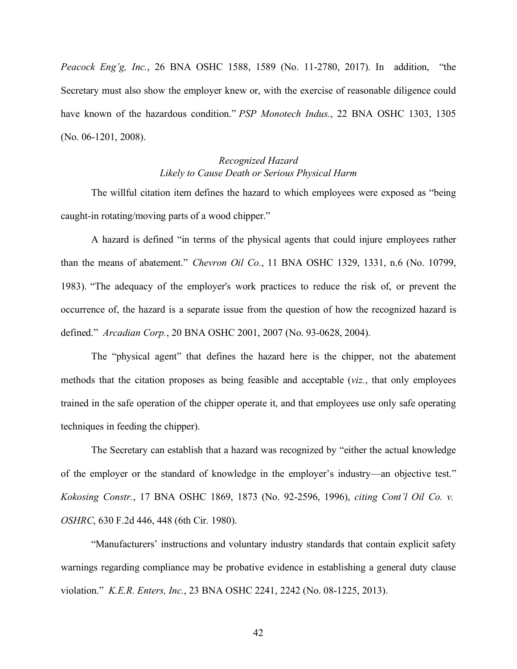*Peacock Eng'g, Inc.*, 26 BNA OSHC 1588, 1589 (No. 11-2780, 2017). In addition, "the Secretary must also show the employer knew or, with the exercise of reasonable diligence could have known of the hazardous condition." *PSP Monotech Indus.*, 22 BNA OSHC 1303, 1305 (No. 06-1201, 2008).

## *Likely to Cause Death or Serious Physical Harm Recognized Hazard*

 The willful citation item defines the hazard to which employees were exposed as "being caught-in rotating/moving parts of a wood chipper."

 A hazard is defined "in terms of the physical agents that could injure employees rather than the means of abatement." *Chevron Oil Co.*, 11 BNA OSHC 1329, 1331, n.6 (No. 10799, 1983). "The adequacy of the employer's work practices to reduce the risk of, or prevent the occurrence of, the hazard is a separate issue from the question of how the recognized hazard is defined." *Arcadian Corp.*, 20 BNA OSHC 2001, 2007 (No. 93-0628, 2004).

 The "physical agent" that defines the hazard here is the chipper, not the abatement methods that the citation proposes as being feasible and acceptable (*viz.*, that only employees trained in the safe operation of the chipper operate it, and that employees use only safe operating techniques in feeding the chipper).

 The Secretary can establish that a hazard was recognized by "either the actual knowledge of the employer or the standard of knowledge in the employer's industry—an objective test." *Kokosing Constr.*, 17 BNA OSHC 1869, 1873 (No. 92-2596, 1996), *citing Cont'l Oil Co. v. OSHRC*, 630 F.2d 446, 448 (6th Cir. 1980).

 "Manufacturers' instructions and voluntary industry standards that contain explicit safety warnings regarding compliance may be probative evidence in establishing a general duty clause  violation." *K.E.R. Enters, Inc.*, 23 BNA OSHC 2241, 2242 (No. 08-1225, 2013).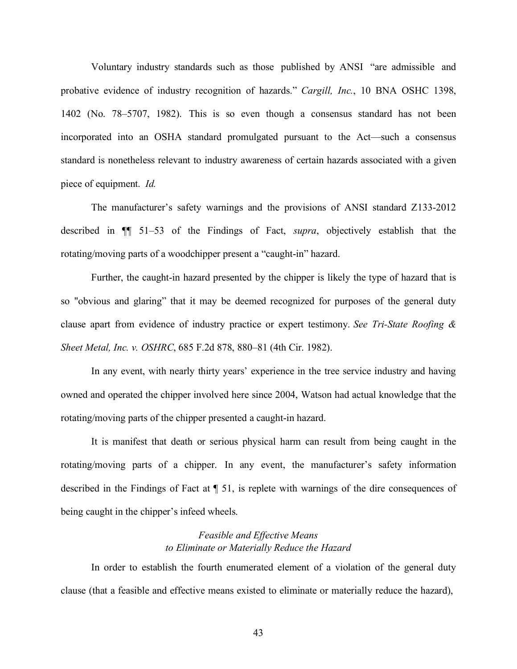Voluntary industry standards such as those published by ANSI "are admissible and probative evidence of industry recognition of hazards." *Cargill, Inc.*, 10 BNA OSHC 1398, 1402 (No. 78–5707, 1982). This is so even though a consensus standard has not been incorporated into an OSHA standard promulgated pursuant to the Act—such a consensus standard is nonetheless relevant to industry awareness of certain hazards associated with a given piece of equipment. *Id.* 

 The manufacturer's safety warnings and the provisions of ANSI standard Z133-2012 described in ¶¶ 51–53 of the Findings of Fact, *supra*, objectively establish that the rotating/moving parts of a woodchipper present a "caught-in" hazard.

 Further, the caught-in hazard presented by the chipper is likely the type of hazard that is so "obvious and glaring" that it may be deemed recognized for purposes of the general duty clause apart from evidence of industry practice or expert testimony. *See Tri-State Roofing & Sheet Metal, Inc. v. OSHRC*, 685 F.2d 878, 880–81 (4th Cir. 1982).

 In any event, with nearly thirty years' experience in the tree service industry and having owned and operated the chipper involved here since 2004, Watson had actual knowledge that the rotating/moving parts of the chipper presented a caught-in hazard.

 It is manifest that death or serious physical harm can result from being caught in the rotating/moving parts of a chipper. In any event, the manufacturer's safety information described in the Findings of Fact at ¶ 51, is replete with warnings of the dire consequences of being caught in the chipper's infeed wheels.

### *Feasible and Effective Means to Eliminate or Materially Reduce the Hazard*

 In order to establish the fourth enumerated element of a violation of the general duty clause (that a feasible and effective means existed to eliminate or materially reduce the hazard),

43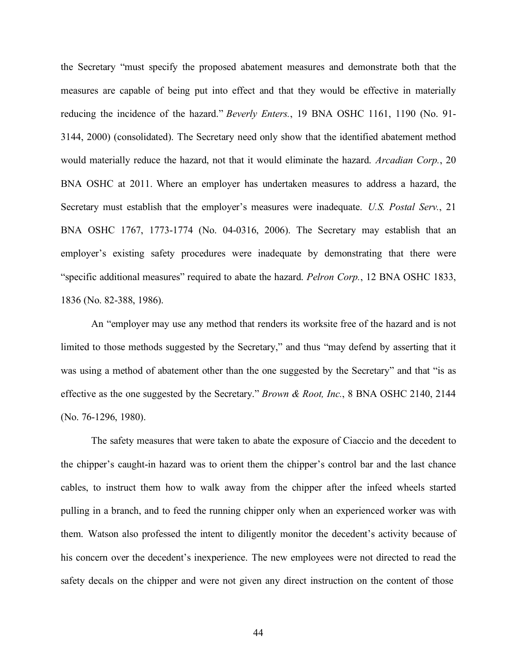the Secretary "must specify the proposed abatement measures and demonstrate both that the measures are capable of being put into effect and that they would be effective in materially reducing the incidence of the hazard." *Beverly Enters.*, 19 BNA OSHC 1161, 1190 (No. 91- 3144, 2000) (consolidated). The Secretary need only show that the identified abatement method would materially reduce the hazard, not that it would eliminate the hazard. *Arcadian Corp.*, 20 BNA OSHC at 2011. Where an employer has undertaken measures to address a hazard, the Secretary must establish that the employer's measures were inadequate. *U.S. Postal Serv.*, 21 BNA OSHC 1767, 1773-1774 (No. 04-0316, 2006). The Secretary may establish that an employer's existing safety procedures were inadequate by demonstrating that there were "specific additional measures" required to abate the hazard. *Pelron Corp.*, 12 BNA OSHC 1833, 1836 (No. 82-388, 1986).

 An "employer may use any method that renders its worksite free of the hazard and is not limited to those methods suggested by the Secretary," and thus "may defend by asserting that it was using a method of abatement other than the one suggested by the Secretary" and that "is as effective as the one suggested by the Secretary." *Brown & Root, Inc.*, 8 BNA OSHC 2140, 2144 (No. 76-1296, 1980).

 The safety measures that were taken to abate the exposure of Ciaccio and the decedent to the chipper's caught-in hazard was to orient them the chipper's control bar and the last chance cables, to instruct them how to walk away from the chipper after the infeed wheels started pulling in a branch, and to feed the running chipper only when an experienced worker was with them. Watson also professed the intent to diligently monitor the decedent's activity because of his concern over the decedent's inexperience. The new employees were not directed to read the safety decals on the chipper and were not given any direct instruction on the content of those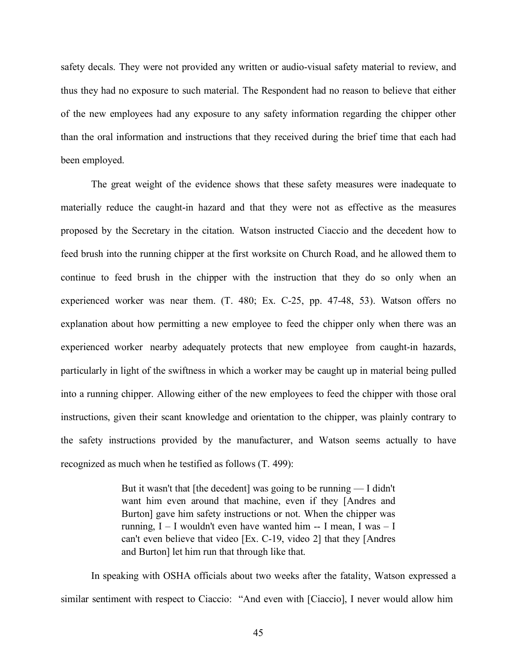safety decals. They were not provided any written or audio-visual safety material to review, and thus they had no exposure to such material. The Respondent had no reason to believe that either of the new employees had any exposure to any safety information regarding the chipper other than the oral information and instructions that they received during the brief time that each had been employed.

 The great weight of the evidence shows that these safety measures were inadequate to materially reduce the caught-in hazard and that they were not as effective as the measures proposed by the Secretary in the citation. Watson instructed Ciaccio and the decedent how to feed brush into the running chipper at the first worksite on Church Road, and he allowed them to continue to feed brush in the chipper with the instruction that they do so only when an experienced worker was near them. (T. 480; Ex. C-25, pp. 47-48, 53). Watson offers no explanation about how permitting a new employee to feed the chipper only when there was an experienced worker nearby adequately protects that new employee from caught-in hazards, particularly in light of the swiftness in which a worker may be caught up in material being pulled into a running chipper. Allowing either of the new employees to feed the chipper with those oral instructions, given their scant knowledge and orientation to the chipper, was plainly contrary to the safety instructions provided by the manufacturer, and Watson seems actually to have recognized as much when he testified as follows (T. 499):

> But it wasn't that [the decedent] was going to be running — I didn't want him even around that machine, even if they [Andres and Burton] gave him safety instructions or not. When the chipper was running, I – I wouldn't even have wanted him -- I mean, I was – I can't even believe that video [Ex. C-19, video 2] that they [Andres and Burton] let him run that through like that.

 In speaking with OSHA officials about two weeks after the fatality, Watson expressed a similar sentiment with respect to Ciaccio: "And even with [Ciaccio], I never would allow him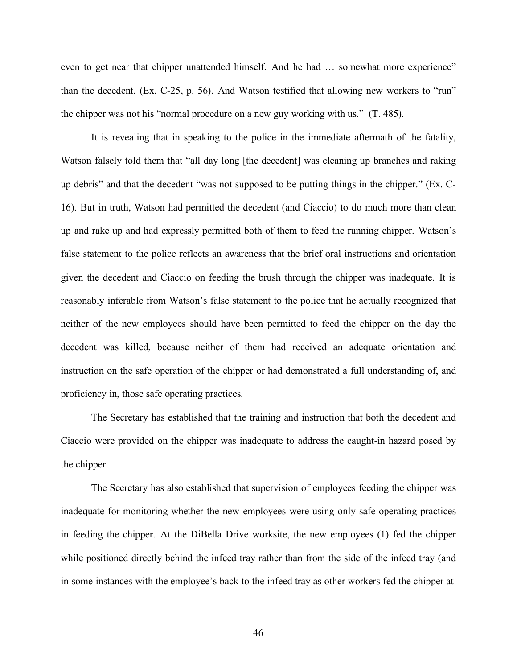even to get near that chipper unattended himself. And he had ... somewhat more experience" than the decedent. (Ex. C-25, p. 56). And Watson testified that allowing new workers to "run" the chipper was not his "normal procedure on a new guy working with us." (T. 485).

 It is revealing that in speaking to the police in the immediate aftermath of the fatality, Watson falsely told them that "all day long [the decedent] was cleaning up branches and raking up debris" and that the decedent "was not supposed to be putting things in the chipper." (Ex. C- 16). But in truth, Watson had permitted the decedent (and Ciaccio) to do much more than clean up and rake up and had expressly permitted both of them to feed the running chipper. Watson's false statement to the police reflects an awareness that the brief oral instructions and orientation given the decedent and Ciaccio on feeding the brush through the chipper was inadequate. It is reasonably inferable from Watson's false statement to the police that he actually recognized that neither of the new employees should have been permitted to feed the chipper on the day the decedent was killed, because neither of them had received an adequate orientation and instruction on the safe operation of the chipper or had demonstrated a full understanding of, and proficiency in, those safe operating practices.

 The Secretary has established that the training and instruction that both the decedent and Ciaccio were provided on the chipper was inadequate to address the caught-in hazard posed by the chipper.

 The Secretary has also established that supervision of employees feeding the chipper was inadequate for monitoring whether the new employees were using only safe operating practices in feeding the chipper. At the DiBella Drive worksite, the new employees (1) fed the chipper while positioned directly behind the infeed tray rather than from the side of the infeed tray (and in some instances with the employee's back to the infeed tray as other workers fed the chipper at

46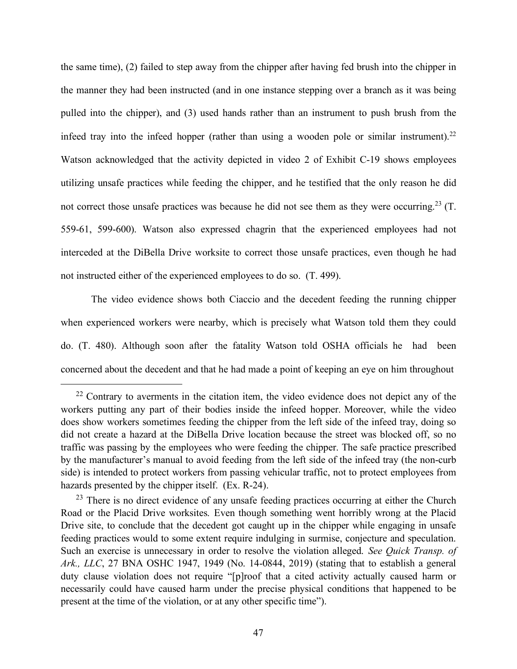the same time), (2) failed to step away from the chipper after having fed brush into the chipper in the manner they had been instructed (and in one instance stepping over a branch as it was being pulled into the chipper), and (3) used hands rather than an instrument to push brush from the infeed tray into the infeed hopper (rather than using a wooden pole or similar instrument).<sup>22</sup> Watson acknowledged that the activity depicted in video 2 of Exhibit C-19 shows employees utilizing unsafe practices while feeding the chipper, and he testified that the only reason he did not correct those unsafe practices was because he did not see them as they were occurring.<sup>23</sup> (T. 559-61, 599-600). Watson also expressed chagrin that the experienced employees had not interceded at the DiBella Drive worksite to correct those unsafe practices, even though he had not instructed either of the experienced employees to do so. (T. 499).

 The video evidence shows both Ciaccio and the decedent feeding the running chipper when experienced workers were nearby, which is precisely what Watson told them they could do. (T. 480). Although soon after the fatality Watson told OSHA officials he had been concerned about the decedent and that he had made a point of keeping an eye on him throughout

<span id="page-46-0"></span> $22$  Contrary to averments in the citation item, the video evidence does not depict any of the workers putting any part of their bodies inside the infeed hopper. Moreover, while the video does show workers sometimes feeding the chipper from the left side of the infeed tray, doing so did not create a hazard at the DiBella Drive location because the street was blocked off, so no traffic was passing by the employees who were feeding the chipper. The safe practice prescribed by the manufacturer's manual to avoid feeding from the left side of the infeed tray (the non-curb side) is intended to protect workers from passing vehicular traffic, not to protect employees from hazards presented by the chipper itself. (Ex. R-24).

<span id="page-46-1"></span> $23$  There is no direct evidence of any unsafe feeding practices occurring at either the Church Road or the Placid Drive worksites. Even though something went horribly wrong at the Placid Drive site, to conclude that the decedent got caught up in the chipper while engaging in unsafe feeding practices would to some extent require indulging in surmise, conjecture and speculation. Such an exercise is unnecessary in order to resolve the violation alleged. *See Quick Transp. of Ark., LLC*, 27 BNA OSHC 1947, 1949 (No. 14-0844, 2019) (stating that to establish a general duty clause violation does not require "[p]roof that a cited activity actually caused harm or necessarily could have caused harm under the precise physical conditions that happened to be present at the time of the violation, or at any other specific time").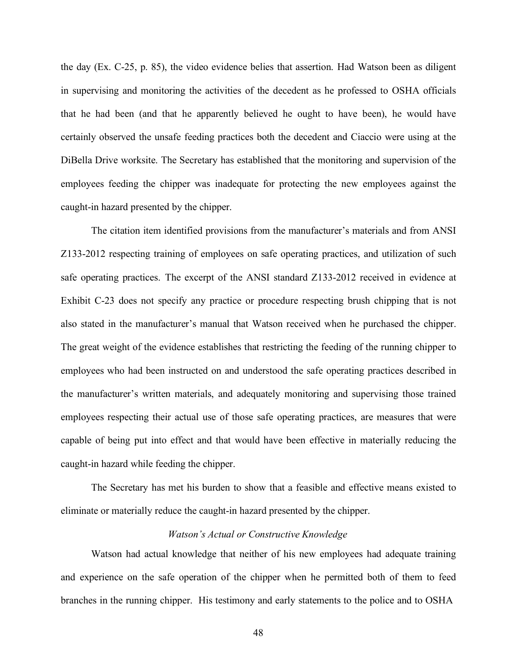the day (Ex. C-25, p. 85), the video evidence belies that assertion. Had Watson been as diligent in supervising and monitoring the activities of the decedent as he professed to OSHA officials that he had been (and that he apparently believed he ought to have been), he would have certainly observed the unsafe feeding practices both the decedent and Ciaccio were using at the DiBella Drive worksite. The Secretary has established that the monitoring and supervision of the employees feeding the chipper was inadequate for protecting the new employees against the caught-in hazard presented by the chipper.

 The citation item identified provisions from the manufacturer's materials and from ANSI Z133-2012 respecting training of employees on safe operating practices, and utilization of such safe operating practices. The excerpt of the ANSI standard Z133-2012 received in evidence at Exhibit C-23 does not specify any practice or procedure respecting brush chipping that is not also stated in the manufacturer's manual that Watson received when he purchased the chipper. The great weight of the evidence establishes that restricting the feeding of the running chipper to employees who had been instructed on and understood the safe operating practices described in the manufacturer's written materials, and adequately monitoring and supervising those trained employees respecting their actual use of those safe operating practices, are measures that were capable of being put into effect and that would have been effective in materially reducing the caught-in hazard while feeding the chipper.

 The Secretary has met his burden to show that a feasible and effective means existed to eliminate or materially reduce the caught-in hazard presented by the chipper.

### *Watson's Actual or Constructive Knowledge*

 Watson had actual knowledge that neither of his new employees had adequate training and experience on the safe operation of the chipper when he permitted both of them to feed branches in the running chipper. His testimony and early statements to the police and to OSHA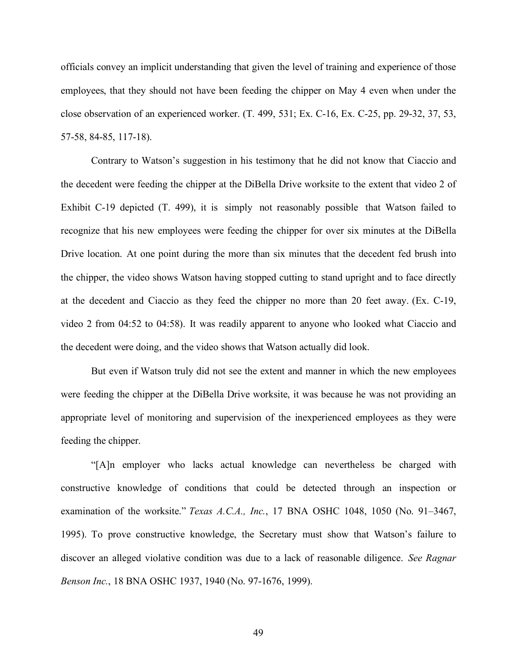officials convey an implicit understanding that given the level of training and experience of those employees, that they should not have been feeding the chipper on May 4 even when under the close observation of an experienced worker. (T. 499, 531; Ex. C-16, Ex. C-25, pp. 29-32, 37, 53, 57-58, 84-85, 117-18).

 Contrary to Watson's suggestion in his testimony that he did not know that Ciaccio and the decedent were feeding the chipper at the DiBella Drive worksite to the extent that video 2 of Exhibit C-19 depicted (T. 499), it is simply not reasonably possible that Watson failed to recognize that his new employees were feeding the chipper for over six minutes at the DiBella Drive location. At one point during the more than six minutes that the decedent fed brush into the chipper, the video shows Watson having stopped cutting to stand upright and to face directly at the decedent and Ciaccio as they feed the chipper no more than 20 feet away. (Ex. C-19, video 2 from 04:52 to 04:58). It was readily apparent to anyone who looked what Ciaccio and the decedent were doing, and the video shows that Watson actually did look.

 But even if Watson truly did not see the extent and manner in which the new employees were feeding the chipper at the DiBella Drive worksite, it was because he was not providing an appropriate level of monitoring and supervision of the inexperienced employees as they were feeding the chipper.

 "[A]n employer who lacks actual knowledge can nevertheless be charged with constructive knowledge of conditions that could be detected through an inspection or examination of the worksite." *Texas A.C.A., Inc.*, 17 BNA OSHC 1048, 1050 (No. 91–3467, 1995). To prove constructive knowledge, the Secretary must show that Watson's failure to discover an alleged violative condition was due to a lack of reasonable diligence. *See Ragnar Benson Inc.*, 18 BNA OSHC 1937, 1940 (No. 97-1676, 1999).

49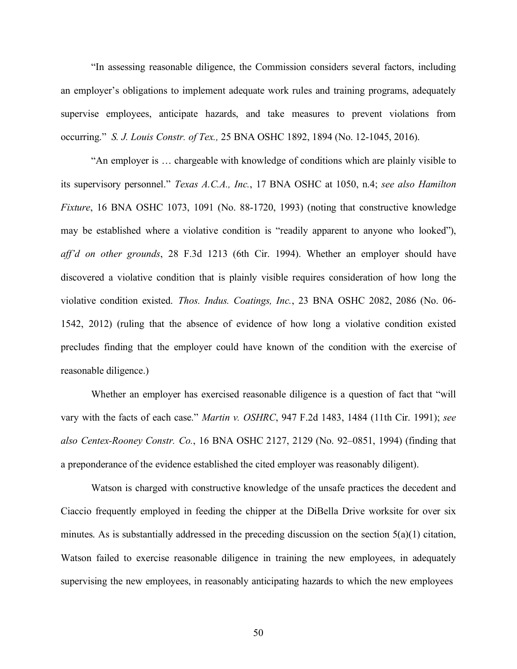"In assessing reasonable diligence, the Commission considers several factors, including an employer's obligations to implement adequate work rules and training programs, adequately supervise employees, anticipate hazards, and take measures to prevent violations from occurring." *S. J. Louis Constr. of Tex.,* 25 BNA OSHC 1892, 1894 (No. 12-1045, 2016).

 "An employer is … chargeable with knowledge of conditions which are plainly visible to its supervisory personnel." *Texas A.C.A., Inc.*, 17 BNA OSHC at 1050, n.4; *see also Hamilton Fixture*, 16 BNA OSHC 1073, 1091 (No. 88-1720, 1993) (noting that constructive knowledge may be established where a violative condition is "readily apparent to anyone who looked"),  *aff'd on other grounds*, 28 F.3d 1213 (6th Cir. 1994). Whether an employer should have discovered a violative condition that is plainly visible requires consideration of how long the violative condition existed. *Thos. Indus. Coatings, Inc.*, 23 BNA OSHC 2082, 2086 (No. 06- 1542, 2012) (ruling that the absence of evidence of how long a violative condition existed precludes finding that the employer could have known of the condition with the exercise of reasonable diligence.)

 Whether an employer has exercised reasonable diligence is a question of fact that "will vary with the facts of each case." *Martin v. OSHRC*, 947 F.2d 1483, 1484 (11th Cir. 1991); *see also Centex-Rooney Constr. Co.*, 16 BNA OSHC 2127, 2129 (No. 92–0851, 1994) (finding that a preponderance of the evidence established the cited employer was reasonably diligent).

 Watson is charged with constructive knowledge of the unsafe practices the decedent and Ciaccio frequently employed in feeding the chipper at the DiBella Drive worksite for over six minutes. As is substantially addressed in the preceding discussion on the section 5(a)(1) citation, Watson failed to exercise reasonable diligence in training the new employees, in adequately supervising the new employees, in reasonably anticipating hazards to which the new employees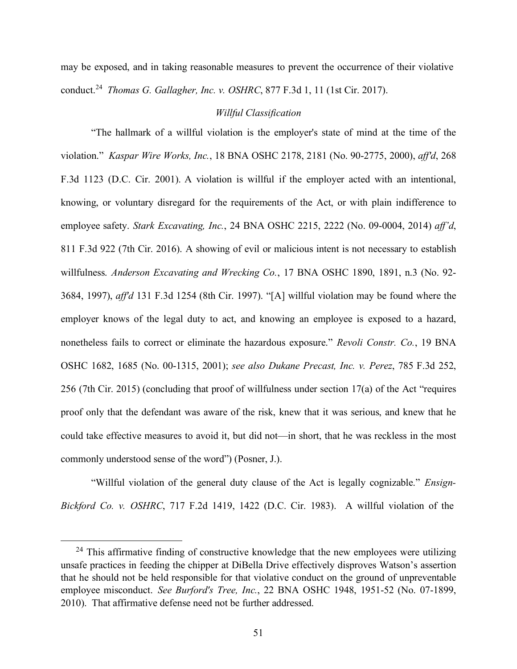may be exposed, and in taking reasonable measures to prevent the occurrence of their violative conduct.[24](#page-50-0) *Thomas G. Gallagher, Inc. v. OSHRC*, 877 F.3d 1, 11 (1st Cir. 2017).

### *Willful Classification*

 "The hallmark of a willful violation is the employer's state of mind at the time of the  violation." *Kaspar Wire Works, Inc.*, 18 BNA OSHC 2178, 2181 (No. 90-2775, 2000), *aff'd*, 268 F.3d 1123 (D.C. Cir. 2001). A violation is willful if the employer acted with an intentional, knowing, or voluntary disregard for the requirements of the Act, or with plain indifference to employee safety. *Stark Excavating, Inc.*, 24 BNA OSHC 2215, 2222 (No. 09-0004, 2014) *aff'd*, 811 F.3d 922 (7th Cir. 2016). A showing of evil or malicious intent is not necessary to establish  willfulness. *Anderson Excavating and Wrecking Co.*, 17 BNA OSHC 1890, 1891, n.3 (No. 92- 3684, 1997), *aff'd* 131 F.3d 1254 (8th Cir. 1997). "[A] willful violation may be found where the employer knows of the legal duty to act, and knowing an employee is exposed to a hazard, nonetheless fails to correct or eliminate the hazardous exposure." *Revoli Constr. Co.*, 19 BNA OSHC 1682, 1685 (No. 00-1315, 2001); *see also Dukane Precast, Inc. v. Perez*, 785 F.3d 252, 256 (7th Cir. 2015) (concluding that proof of willfulness under section 17(a) of the Act "requires proof only that the defendant was aware of the risk, knew that it was serious, and knew that he could take effective measures to avoid it, but did not—in short, that he was reckless in the most commonly understood sense of the word") (Posner, J.).

 "Willful violation of the general duty clause of the Act is legally cognizable." *Ensign- Bickford Co. v. OSHRC*, 717 F.2d 1419, 1422 (D.C. Cir. 1983). A willful violation of the

<span id="page-50-0"></span> $24$  This affirmative finding of constructive knowledge that the new employees were utilizing unsafe practices in feeding the chipper at DiBella Drive effectively disproves Watson's assertion that he should not be held responsible for that violative conduct on the ground of unpreventable employee misconduct. *See Burford's Tree, Inc.*, 22 BNA OSHC 1948, 1951-52 (No. 07-1899, 2010). That affirmative defense need not be further addressed.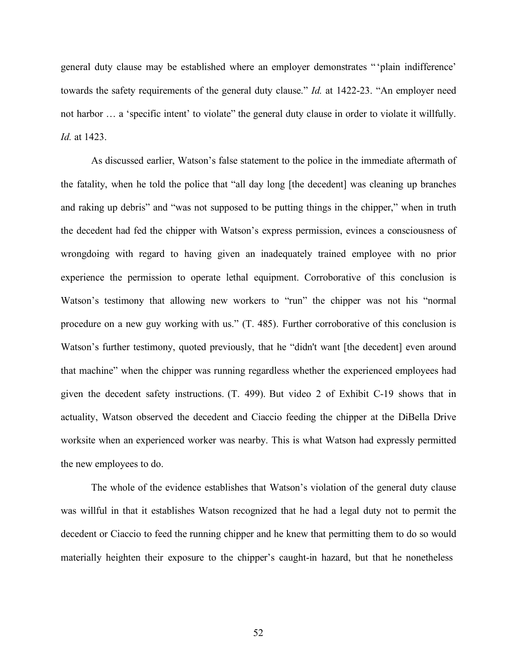general duty clause may be established where an employer demonstrates " 'plain indifference' towards the safety requirements of the general duty clause." *Id.* at 1422-23. "An employer need not harbor ... a 'specific intent' to violate" the general duty clause in order to violate it willfully. *Id.* at 1423.

 As discussed earlier, Watson's false statement to the police in the immediate aftermath of the fatality, when he told the police that "all day long [the decedent] was cleaning up branches and raking up debris" and "was not supposed to be putting things in the chipper," when in truth the decedent had fed the chipper with Watson's express permission, evinces a consciousness of wrongdoing with regard to having given an inadequately trained employee with no prior experience the permission to operate lethal equipment. Corroborative of this conclusion is Watson's testimony that allowing new workers to "run" the chipper was not his "normal procedure on a new guy working with us." (T. 485). Further corroborative of this conclusion is Watson's further testimony, quoted previously, that he "didn't want [the decedent] even around that machine" when the chipper was running regardless whether the experienced employees had given the decedent safety instructions. (T. 499). But video 2 of Exhibit C-19 shows that in actuality, Watson observed the decedent and Ciaccio feeding the chipper at the DiBella Drive worksite when an experienced worker was nearby. This is what Watson had expressly permitted the new employees to do.

 The whole of the evidence establishes that Watson's violation of the general duty clause was willful in that it establishes Watson recognized that he had a legal duty not to permit the decedent or Ciaccio to feed the running chipper and he knew that permitting them to do so would materially heighten their exposure to the chipper's caught-in hazard, but that he nonetheless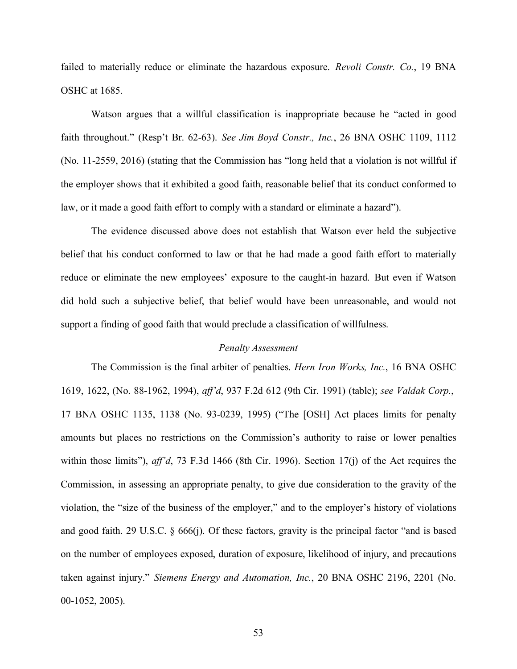failed to materially reduce or eliminate the hazardous exposure. *Revoli Constr. Co.*, 19 BNA OSHC at 1685.

 Watson argues that a willful classification is inappropriate because he "acted in good faith throughout." (Resp't Br. 62-63). *See Jim Boyd Constr., Inc.*, 26 BNA OSHC 1109, 1112 (No. 11-2559, 2016) (stating that the Commission has "long held that a violation is not willful if the employer shows that it exhibited a good faith, reasonable belief that its conduct conformed to law, or it made a good faith effort to comply with a standard or eliminate a hazard").

 The evidence discussed above does not establish that Watson ever held the subjective belief that his conduct conformed to law or that he had made a good faith effort to materially reduce or eliminate the new employees' exposure to the caught-in hazard. But even if Watson did hold such a subjective belief, that belief would have been unreasonable, and would not support a finding of good faith that would preclude a classification of willfulness.

### *Penalty Assessment*

 The Commission is the final arbiter of penalties. *Hern Iron Works, Inc.*, 16 BNA OSHC 1619, 1622, (No. 88-1962, 1994), *aff'd*, 937 F.2d 612 (9th Cir. 1991) (table); *see Valdak Corp.*, 17 BNA OSHC 1135, 1138 (No. 93-0239, 1995) ("The [OSH] Act places limits for penalty amounts but places no restrictions on the Commission's authority to raise or lower penalties within those limits"), *aff'd*, 73 F.3d 1466 (8th Cir. 1996). Section 17(j) of the Act requires the Commission, in assessing an appropriate penalty, to give due consideration to the gravity of the violation, the "size of the business of the employer," and to the employer's history of violations and good faith. 29 U.S.C. § 666(j). Of these factors, gravity is the principal factor "and is based on the number of employees exposed, duration of exposure, likelihood of injury, and precautions taken against injury." *Siemens Energy and Automation, Inc.*, 20 BNA OSHC 2196, 2201 (No. 00-1052, 2005).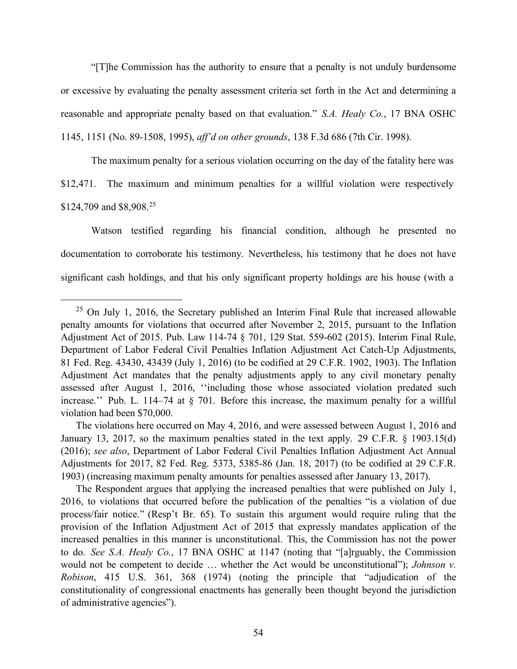"[T]he Commission has the authority to ensure that a penalty is not unduly burdensome or excessive by evaluating the penalty assessment criteria set forth in the Act and determining a reasonable and appropriate penalty based on that evaluation." *S.A. Healy Co.*, 17 BNA OSHC 1145, 1151 (No. 89-1508, 1995), *aff'd on other grounds*, 138 F.3d 686 (7th Cir. 1998).

 The maximum penalty for a serious violation occurring on the day of the fatality here was \$12,471. The maximum and minimum penalties for a willful violation were respectively \$124,709 and \$8,908.<sup>25</sup>

 Watson testified regarding his financial condition, although he presented no documentation to corroborate his testimony. Nevertheless, his testimony that he does not have significant cash holdings, and that his only significant property holdings are his house (with a

 The Respondent argues that applying the increased penalties that were published on July 1, 2016, to violations that occurred before the publication of the penalties "is a violation of due process/fair notice." (Resp't Br. 65). To sustain this argument would require ruling that the provision of the Inflation Adjustment Act of 2015 that expressly mandates application of the increased penalties in this manner is unconstitutional. This, the Commission has not the power to do. *See S.A. Healy Co.*, 17 BNA OSHC at 1147 (noting that "[a]rguably, the Commission would not be competent to decide … whether the Act would be unconstitutional"); *Johnson v. Robison*, 415 U.S. 361, 368 (1974) (noting the principle that "adjudication of the constitutionality of congressional enactments has generally been thought beyond the jurisdiction of administrative agencies").

<span id="page-53-0"></span> $25$  On July 1, 2016, the Secretary published an Interim Final Rule that increased allowable penalty amounts for violations that occurred after November 2, 2015, pursuant to the Inflation Adjustment Act of 2015. Pub. Law 114-74 § 701, 129 Stat. 559-602 (2015). Interim Final Rule, Department of Labor Federal Civil Penalties Inflation Adjustment Act Catch-Up Adjustments, 81 Fed. Reg. 43430, 43439 (July 1, 2016) (to be codified at 29 C.F.R. 1902, 1903). The Inflation Adjustment Act mandates that the penalty adjustments apply to any civil monetary penalty assessed after August 1, 2016, ''including those whose associated violation predated such increase.'' Pub. L. 114–74 at § 701. Before this increase, the maximum penalty for a willful violation had been \$70,000.

 The violations here occurred on May 4, 2016, and were assessed between August 1, 2016 and January 13, 2017, so the maximum penalties stated in the text apply. 29 C.F.R. § 1903.15(d) (2016); *see also*, Department of Labor Federal Civil Penalties Inflation Adjustment Act Annual Adjustments for 2017, 82 Fed. Reg. 5373, 5385-86 (Jan. 18, 2017) (to be codified at 29 C.F.R. 1903) (increasing maximum penalty amounts for penalties assessed after January 13, 2017).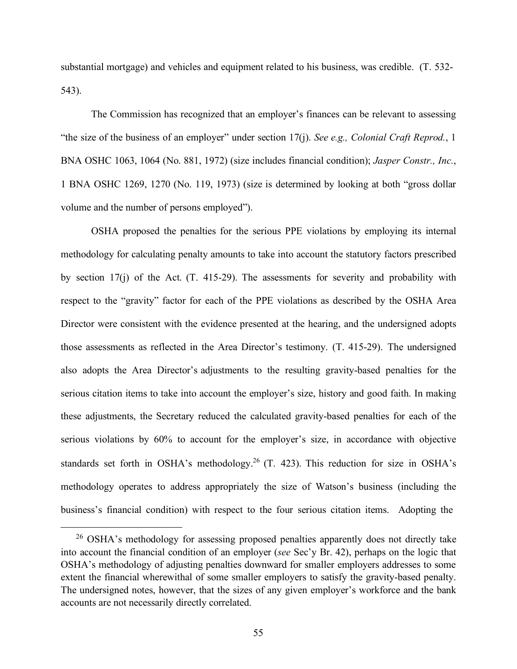substantial mortgage) and vehicles and equipment related to his business, was credible. (T. 532- 543).

 The Commission has recognized that an employer's finances can be relevant to assessing "the size of the business of an employer" under section 17(j). *See e.g., Colonial Craft Reprod.*, 1 BNA OSHC 1063, 1064 (No. 881, 1972) (size includes financial condition); *Jasper Constr., Inc.*, 1 BNA OSHC 1269, 1270 (No. 119, 1973) (size is determined by looking at both "gross dollar volume and the number of persons employed").

 OSHA proposed the penalties for the serious PPE violations by employing its internal methodology for calculating penalty amounts to take into account the statutory factors prescribed by section 17(j) of the Act. (T. 415-29). The assessments for severity and probability with respect to the "gravity" factor for each of the PPE violations as described by the OSHA Area Director were consistent with the evidence presented at the hearing, and the undersigned adopts those assessments as reflected in the Area Director's testimony. (T. 415-29). The undersigned also adopts the Area Director's adjustments to the resulting gravity-based penalties for the serious citation items to take into account the employer's size, history and good faith. In making these adjustments, the Secretary reduced the calculated gravity-based penalties for each of the serious violations by 60% to account for the employer's size, in accordance with objective standards set forth in OSHA's methodology.<sup>26</sup> (T. 423). This reduction for size in OSHA's methodology operates to address appropriately the size of Watson's business (including the business's financial condition) with respect to the four serious citation items. Adopting the

<span id="page-54-0"></span><sup>&</sup>lt;sup>26</sup> OSHA's methodology for assessing proposed penalties apparently does not directly take into account the financial condition of an employer (*see* Sec'y Br. 42), perhaps on the logic that OSHA's methodology of adjusting penalties downward for smaller employers addresses to some extent the financial wherewithal of some smaller employers to satisfy the gravity-based penalty. The undersigned notes, however, that the sizes of any given employer's workforce and the bank accounts are not necessarily directly correlated.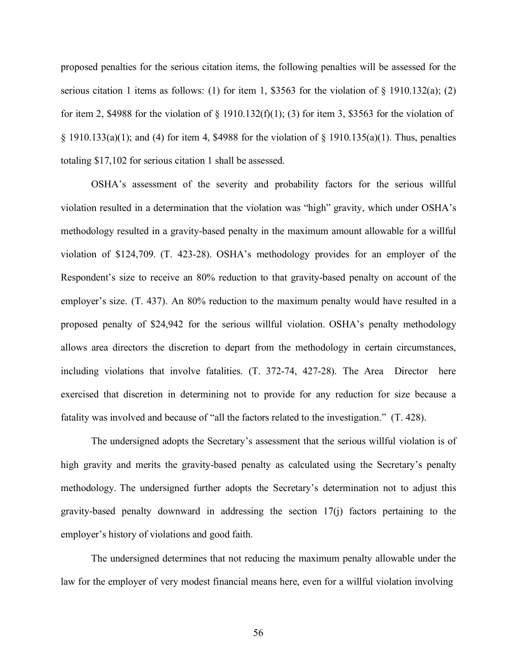proposed penalties for the serious citation items, the following penalties will be assessed for the serious citation 1 items as follows: (1) for item 1, \$3563 for the violation of  $\S$  1910.132(a); (2) for item 2, \$4988 for the violation of  $\S$  1910.132(f)(1); (3) for item 3, \$3563 for the violation of  $\S$  1910.133(a)(1); and (4) for item 4, \$4988 for the violation of  $\S$  1910.135(a)(1). Thus, penalties totaling \$17,102 for serious citation 1 shall be assessed.

 OSHA's assessment of the severity and probability factors for the serious willful violation resulted in a determination that the violation was "high" gravity, which under OSHA's methodology resulted in a gravity-based penalty in the maximum amount allowable for a willful violation of \$124,709. (T. 423-28). OSHA's methodology provides for an employer of the Respondent's size to receive an 80% reduction to that gravity-based penalty on account of the employer's size. (T. 437). An 80% reduction to the maximum penalty would have resulted in a proposed penalty of \$24,942 for the serious willful violation. OSHA's penalty methodology allows area directors the discretion to depart from the methodology in certain circumstances, including violations that involve fatalities. (T. 372-74, 427-28). The Area Director here exercised that discretion in determining not to provide for any reduction for size because a fatality was involved and because of "all the factors related to the investigation." (T. 428).

 The undersigned adopts the Secretary's assessment that the serious willful violation is of high gravity and merits the gravity-based penalty as calculated using the Secretary's penalty methodology. The undersigned further adopts the Secretary's determination not to adjust this gravity-based penalty downward in addressing the section 17(j) factors pertaining to the employer's history of violations and good faith.

 The undersigned determines that not reducing the maximum penalty allowable under the law for the employer of very modest financial means here, even for a willful violation involving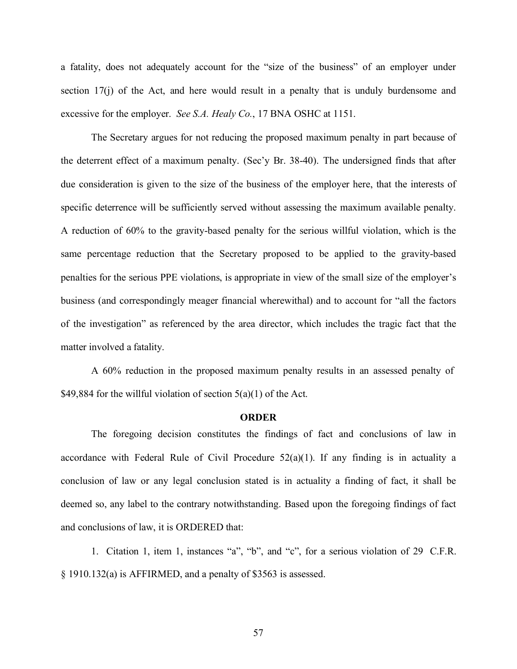a fatality, does not adequately account for the "size of the business" of an employer under section 17(j) of the Act, and here would result in a penalty that is unduly burdensome and excessive for the employer. *See S.A. Healy Co.*, 17 BNA OSHC at 1151.

 The Secretary argues for not reducing the proposed maximum penalty in part because of the deterrent effect of a maximum penalty. (Sec'y Br. 38-40). The undersigned finds that after due consideration is given to the size of the business of the employer here, that the interests of specific deterrence will be sufficiently served without assessing the maximum available penalty. A reduction of 60% to the gravity-based penalty for the serious willful violation, which is the same percentage reduction that the Secretary proposed to be applied to the gravity-based penalties for the serious PPE violations, is appropriate in view of the small size of the employer's business (and correspondingly meager financial wherewithal) and to account for "all the factors of the investigation" as referenced by the area director, which includes the tragic fact that the matter involved a fatality.

 A 60% reduction in the proposed maximum penalty results in an assessed penalty of \$49,884 for the willful violation of section  $5(a)(1)$  of the Act.

#### **ORDER**

 The foregoing decision constitutes the findings of fact and conclusions of law in accordance with Federal Rule of Civil Procedure  $52(a)(1)$ . If any finding is in actuality a conclusion of law or any legal conclusion stated is in actuality a finding of fact, it shall be deemed so, any label to the contrary notwithstanding. Based upon the foregoing findings of fact and conclusions of law, it is ORDERED that:

 1. Citation 1, item 1, instances "a", "b", and "c", for a serious violation of 29 C.F.R. § 1910.132(a) is AFFIRMED, and a penalty of \$3563 is assessed.